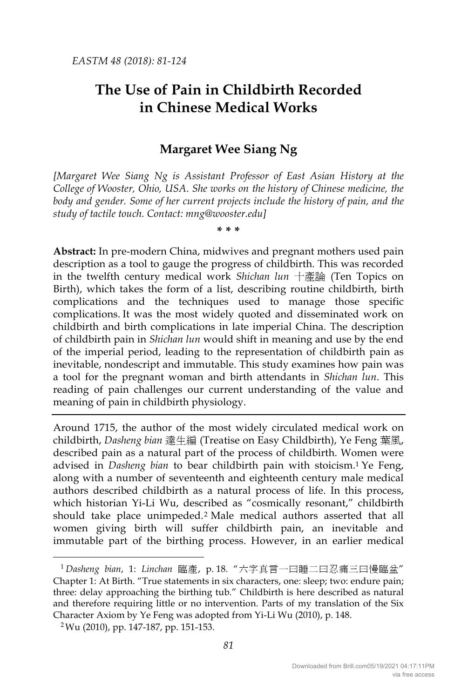# **The Use of Pain in Childbirth Recorded in Chinese Medical Works**

## **Margaret Wee Siang Ng**

*[Margaret Wee Siang Ng is Assistant Professor of East Asian History at the College of Wooster, Ohio, USA. She works on the history of Chinese medicine, the body and gender. Some of her current projects include the history of pain, and the study of tactile touch. Contact: mng@wooster.edu]*

**\* \* \***

**Abstract:** In pre-modern China, midwives and pregnant mothers used pain description as a tool to gauge the progress of childbirth. This was recorded in the twelfth century medical work *Shichan lun* 十產論 (Ten Topics on Birth), which takes the form of a list, describing routine childbirth, birth complications and the techniques used to manage those specific complications. It was the most widely quoted and disseminated work on childbirth and birth complications in late imperial China. The description of childbirth pain in *Shichan lun* would shift in meaning and use by the end of the imperial period, leading to the representation of childbirth pain as inevitable, nondescript and immutable. This study examines how pain was a tool for the pregnant woman and birth attendants in *Shichan lun*. This reading of pain challenges our current understanding of the value and meaning of pain in childbirth physiology.

Around 1715, the author of the most widely circulated medical work on childbirth, *Dasheng bian* 達生編 (Treatise on Easy Childbirth), Ye Feng 葉風, described pain as a natural part of the process of childbirth. Women were advised in *Dasheng bian* to bear childbirth pain with stoicism.1 Ye Feng, along with a number of seventeenth and eighteenth century male medical authors described childbirth as a natural process of life. In this process, which historian Yi-Li Wu, described as "cosmically resonant," childbirth should take place unimpeded.2 Male medical authors asserted that all women giving birth will suffer childbirth pain, an inevitable and immutable part of the birthing process. However, in an earlier medical

 <sup>1</sup> *Dasheng bian*, 1: *Linchan* 臨產, p. 18. "六字真言一曰睡二曰忍痛三曰慢臨盆" Chapter 1: At Birth. "True statements in six characters, one: sleep; two: endure pain; three: delay approaching the birthing tub." Childbirth is here described as natural and therefore requiring little or no intervention. Parts of my translation of the Six Character Axiom by Ye Feng was adopted from Yi-Li Wu (2010), p. 148. 2Wu (2010), pp. 147-187, pp. 151-153.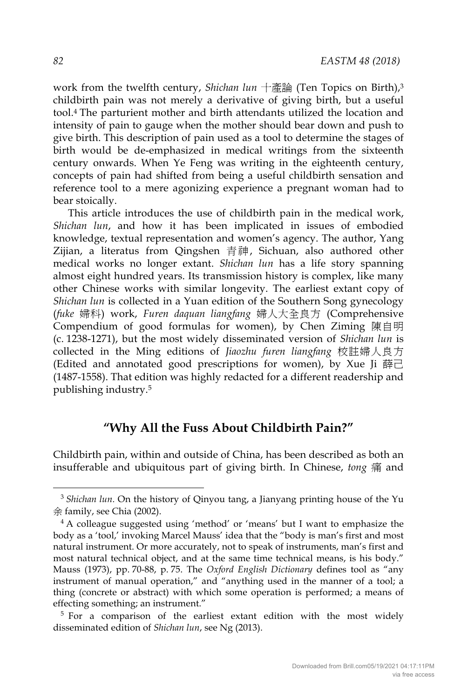work from the twelfth century, *Shichan lun* 十產論 (Ten Topics on Birth),3 childbirth pain was not merely a derivative of giving birth, but a useful tool.4 The parturient mother and birth attendants utilized the location and intensity of pain to gauge when the mother should bear down and push to give birth. This description of pain used as a tool to determine the stages of birth would be de-emphasized in medical writings from the sixteenth century onwards. When Ye Feng was writing in the eighteenth century, concepts of pain had shifted from being a useful childbirth sensation and reference tool to a mere agonizing experience a pregnant woman had to bear stoically.

This article introduces the use of childbirth pain in the medical work, *Shichan lun*, and how it has been implicated in issues of embodied knowledge, textual representation and women's agency. The author, Yang Zijian, a literatus from Qingshen 青神, Sichuan, also authored other medical works no longer extant. *Shichan lun* has a life story spanning almost eight hundred years. Its transmission history is complex, like many other Chinese works with similar longevity. The earliest extant copy of *Shichan lun* is collected in a Yuan edition of the Southern Song gynecology (*fuke* 婦科) work, *Furen daquan liangfang* 婦人大全良方 (Comprehensive Compendium of good formulas for women), by Chen Ziming 陳自明 (c. 1238-1271), but the most widely disseminated version of *Shichan lun* is collected in the Ming editions of *Jiaozhu furen liangfang* 校註婦人良方 (Edited and annotated good prescriptions for women), by Xue Ii 薛己 (1487-1558). That edition was highly redacted for a different readership and publishing industry.5

## **"Why All the Fuss About Childbirth Pain?"**

Childbirth pain, within and outside of China, has been described as both an insufferable and ubiquitous part of giving birth. In Chinese, *tong* 痛 and

<sup>&</sup>lt;sup>3</sup> Shichan lun. On the history of Qinyou tang, a Jianyang printing house of the Yu 余 family, see Chia (2002).

<sup>4</sup> A colleague suggested using 'method' or 'means' but I want to emphasize the body as a 'tool,' invoking Marcel Mauss' idea that the "body is man's first and most natural instrument. Or more accurately, not to speak of instruments, man's first and most natural technical object, and at the same time technical means, is his body." Mauss (1973), pp. 70-88, p. 75. The *Oxford English Dictionary* defines tool as "any instrument of manual operation," and "anything used in the manner of a tool; a thing (concrete or abstract) with which some operation is performed; a means of effecting something; an instrument."

<sup>&</sup>lt;sup>5</sup> For a comparison of the earliest extant edition with the most widely disseminated edition of *Shichan lun*, see Ng (2013).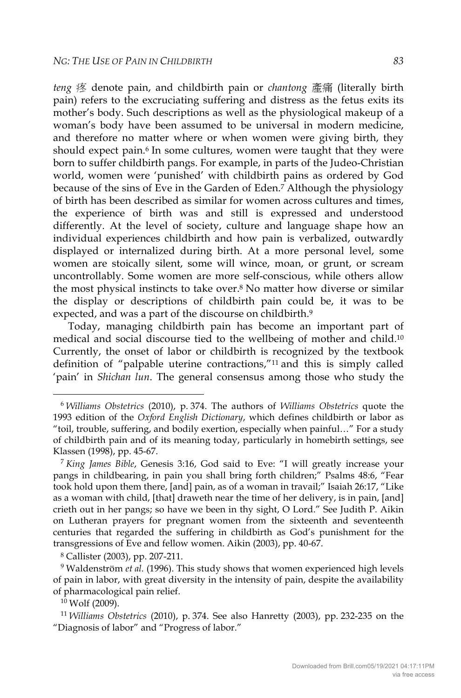*teng* 疼 denote pain, and childbirth pain or *chantong* 產痛 (literally birth pain) refers to the excruciating suffering and distress as the fetus exits its mother's body. Such descriptions as well as the physiological makeup of a woman's body have been assumed to be universal in modern medicine, and therefore no matter where or when women were giving birth, they should expect pain.<sup>6</sup> In some cultures, women were taught that they were born to suffer childbirth pangs. For example, in parts of the Judeo-Christian world, women were 'punished' with childbirth pains as ordered by God because of the sins of Eve in the Garden of Eden.<sup>7</sup> Although the physiology of birth has been described as similar for women across cultures and times, the experience of birth was and still is expressed and understood differently. At the level of society, culture and language shape how an individual experiences childbirth and how pain is verbalized, outwardly displayed or internalized during birth. At a more personal level, some women are stoically silent, some will wince, moan, or grunt, or scream uncontrollably. Some women are more self-conscious, while others allow the most physical instincts to take over.8 No matter how diverse or similar the display or descriptions of childbirth pain could be, it was to be expected, and was a part of the discourse on childbirth.<sup>9</sup>

Today, managing childbirth pain has become an important part of medical and social discourse tied to the wellbeing of mother and child.10 Currently, the onset of labor or childbirth is recognized by the textbook definition of "palpable uterine contractions,"11 and this is simply called 'pain' in *Shichan lun*. The general consensus among those who study the

<sup>8</sup> Callister (2003), pp. 207-211.<br><sup>9</sup> Waldenström *et al.* (1996). This study shows that women experienced high levels of pain in labor, with great diversity in the intensity of pain, despite the availability of pharmacological pain relief.

 $10$  Wolf (2009).

 <sup>6</sup> *Williams Obstetrics* (2010), p. 374. The authors of *Williams Obstetrics* quote the 1993 edition of the *Oxford English Dictionary*, which defines childbirth or labor as "toil, trouble, suffering, and bodily exertion, especially when painful…" For a study of childbirth pain and of its meaning today, particularly in homebirth settings, see Klassen (1998), pp. 45-67.

<sup>7</sup> *King James Bible*, Genesis 3:16, God said to Eve: "I will greatly increase your pangs in childbearing, in pain you shall bring forth children;" Psalms 48:6, "Fear took hold upon them there, [and] pain, as of a woman in travail;" Isaiah 26:17, "Like as a woman with child, [that] draweth near the time of her delivery, is in pain, [and] crieth out in her pangs; so have we been in thy sight, O Lord." See Judith P. Aikin on Lutheran prayers for pregnant women from the sixteenth and seventeenth centuries that regarded the suffering in childbirth as God's punishment for the transgressions of Eve and fellow women. Aikin (2003), pp. 40-67.

<sup>11</sup> *Williams Obstetrics* (2010), p. 374. See also Hanretty (2003), pp. 232-235 on the "Diagnosis of labor" and "Progress of labor."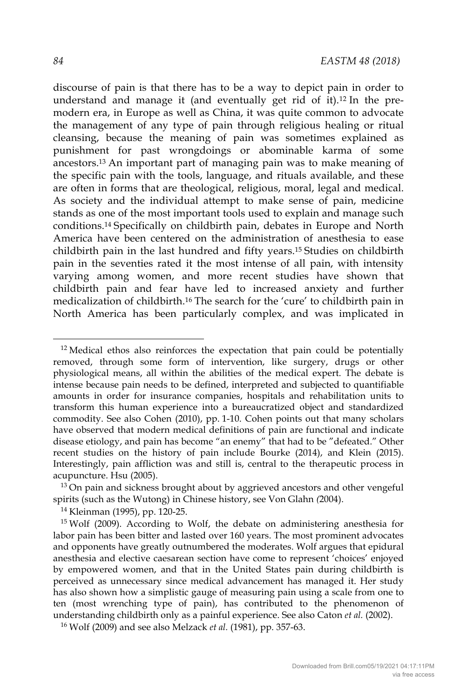discourse of pain is that there has to be a way to depict pain in order to understand and manage it (and eventually get rid of it).12 In the premodern era, in Europe as well as China, it was quite common to advocate the management of any type of pain through religious healing or ritual cleansing, because the meaning of pain was sometimes explained as punishment for past wrongdoings or abominable karma of some ancestors.13 An important part of managing pain was to make meaning of the specific pain with the tools, language, and rituals available, and these are often in forms that are theological, religious, moral, legal and medical. As society and the individual attempt to make sense of pain, medicine stands as one of the most important tools used to explain and manage such conditions.14 Specifically on childbirth pain, debates in Europe and North America have been centered on the administration of anesthesia to ease childbirth pain in the last hundred and fifty years.15 Studies on childbirth pain in the seventies rated it the most intense of all pain, with intensity varying among women, and more recent studies have shown that childbirth pain and fear have led to increased anxiety and further medicalization of childbirth.16 The search for the 'cure' to childbirth pain in North America has been particularly complex, and was implicated in

 $13$  On pain and sickness brought about by aggrieved ancestors and other vengeful spirits (such as the Wutong) in Chinese history, see Von Glahn *(*2004). 14 Kleinman (1995), pp. 120-25.

<sup>16</sup> Wolf (2009) and see also Melzack *et al.* (1981), pp. 357-63.

 $12$  Medical ethos also reinforces the expectation that pain could be potentially removed, through some form of intervention, like surgery, drugs or other physiological means, all within the abilities of the medical expert. The debate is intense because pain needs to be defined, interpreted and subjected to quantifiable amounts in order for insurance companies, hospitals and rehabilitation units to transform this human experience into a bureaucratized object and standardized commodity. See also Cohen (2010), pp. 1-10. Cohen points out that many scholars have observed that modern medical definitions of pain are functional and indicate disease etiology, and pain has become "an enemy" that had to be "defeated." Other recent studies on the history of pain include Bourke (2014), and Klein (2015). Interestingly, pain affliction was and still is, central to the therapeutic process in acupuncture. Hsu (2005).

<sup>&</sup>lt;sup>15</sup> Wolf (2009). According to Wolf, the debate on administering anesthesia for labor pain has been bitter and lasted over 160 years. The most prominent advocates and opponents have greatly outnumbered the moderates. Wolf argues that epidural anesthesia and elective caesarean section have come to represent 'choices' enjoyed by empowered women, and that in the United States pain during childbirth is perceived as unnecessary since medical advancement has managed it. Her study has also shown how a simplistic gauge of measuring pain using a scale from one to ten (most wrenching type of pain), has contributed to the phenomenon of understanding childbirth only as a painful experience. See also Caton *et al.* (2002).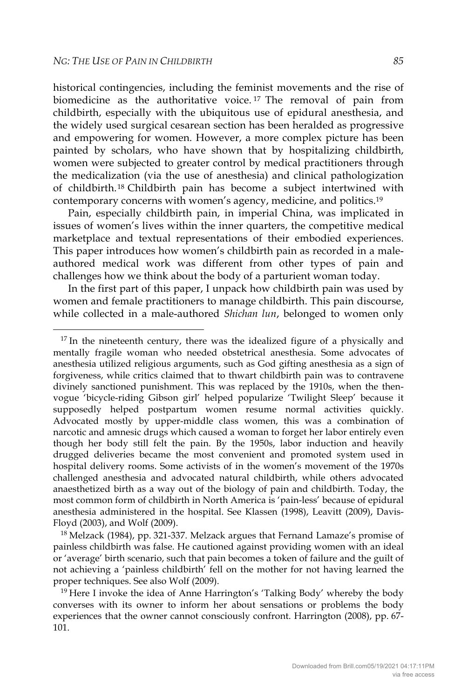historical contingencies, including the feminist movements and the rise of biomedicine as the authoritative voice.<sup>17</sup> The removal of pain from childbirth, especially with the ubiquitous use of epidural anesthesia, and the widely used surgical cesarean section has been heralded as progressive and empowering for women. However, a more complex picture has been painted by scholars, who have shown that by hospitalizing childbirth, women were subjected to greater control by medical practitioners through the medicalization (via the use of anesthesia) and clinical pathologization of childbirth.18 Childbirth pain has become a subject intertwined with contemporary concerns with women's agency, medicine, and politics.19

Pain, especially childbirth pain, in imperial China, was implicated in issues of women's lives within the inner quarters, the competitive medical marketplace and textual representations of their embodied experiences. This paper introduces how women's childbirth pain as recorded in a maleauthored medical work was different from other types of pain and challenges how we think about the body of a parturient woman today.

In the first part of this paper, I unpack how childbirth pain was used by women and female practitioners to manage childbirth. This pain discourse, while collected in a male-authored *Shichan lun*, belonged to women only

 $17$  In the nineteenth century, there was the idealized figure of a physically and mentally fragile woman who needed obstetrical anesthesia. Some advocates of anesthesia utilized religious arguments, such as God gifting anesthesia as a sign of forgiveness, while critics claimed that to thwart childbirth pain was to contravene divinely sanctioned punishment. This was replaced by the 1910s, when the thenvogue 'bicycle-riding Gibson girl' helped popularize 'Twilight Sleep' because it supposedly helped postpartum women resume normal activities quickly. Advocated mostly by upper-middle class women, this was a combination of narcotic and amnesic drugs which caused a woman to forget her labor entirely even though her body still felt the pain. By the 1950s, labor induction and heavily drugged deliveries became the most convenient and promoted system used in hospital delivery rooms. Some activists of in the women's movement of the 1970s challenged anesthesia and advocated natural childbirth, while others advocated anaesthetized birth as a way out of the biology of pain and childbirth. Today, the most common form of childbirth in North America is 'pain-less' because of epidural anesthesia administered in the hospital. See Klassen (1998), Leavitt (2009), Davis-Floyd (2003), and Wolf (2009).

<sup>18</sup> Melzack (1984), pp. 321-337. Melzack argues that Fernand Lamaze's promise of painless childbirth was false. He cautioned against providing women with an ideal or 'average' birth scenario, such that pain becomes a token of failure and the guilt of not achieving a 'painless childbirth' fell on the mother for not having learned the proper techniques. See also Wolf (2009).

<sup>&</sup>lt;sup>19</sup> Here I invoke the idea of Anne Harrington's 'Talking Body' whereby the body converses with its owner to inform her about sensations or problems the body experiences that the owner cannot consciously confront. Harrington (2008), pp. 67- 101.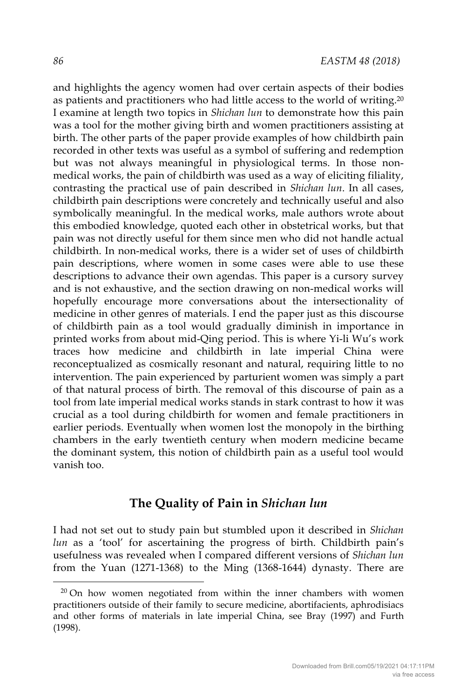and highlights the agency women had over certain aspects of their bodies as patients and practitioners who had little access to the world of writing.20 I examine at length two topics in *Shichan lun* to demonstrate how this pain was a tool for the mother giving birth and women practitioners assisting at birth. The other parts of the paper provide examples of how childbirth pain recorded in other texts was useful as a symbol of suffering and redemption but was not always meaningful in physiological terms. In those nonmedical works, the pain of childbirth was used as a way of eliciting filiality, contrasting the practical use of pain described in *Shichan lun*. In all cases, childbirth pain descriptions were concretely and technically useful and also symbolically meaningful. In the medical works, male authors wrote about this embodied knowledge, quoted each other in obstetrical works, but that pain was not directly useful for them since men who did not handle actual childbirth. In non-medical works, there is a wider set of uses of childbirth pain descriptions, where women in some cases were able to use these descriptions to advance their own agendas. This paper is a cursory survey and is not exhaustive, and the section drawing on non-medical works will hopefully encourage more conversations about the intersectionality of medicine in other genres of materials. I end the paper just as this discourse of childbirth pain as a tool would gradually diminish in importance in printed works from about mid-Qing period. This is where Yi-li Wu's work traces how medicine and childbirth in late imperial China were reconceptualized as cosmically resonant and natural, requiring little to no intervention. The pain experienced by parturient women was simply a part of that natural process of birth. The removal of this discourse of pain as a tool from late imperial medical works stands in stark contrast to how it was crucial as a tool during childbirth for women and female practitioners in earlier periods. Eventually when women lost the monopoly in the birthing chambers in the early twentieth century when modern medicine became the dominant system, this notion of childbirth pain as a useful tool would vanish too.

# **The Quality of Pain in** *Shichan lun*

I had not set out to study pain but stumbled upon it described in *Shichan lun* as a 'tool' for ascertaining the progress of birth. Childbirth pain's usefulness was revealed when I compared different versions of *Shichan lun* from the Yuan (1271-1368) to the Ming (1368-1644) dynasty. There are

<sup>&</sup>lt;sup>20</sup> On how women negotiated from within the inner chambers with women practitioners outside of their family to secure medicine, abortifacients, aphrodisiacs and other forms of materials in late imperial China, see Bray (1997) and Furth (1998).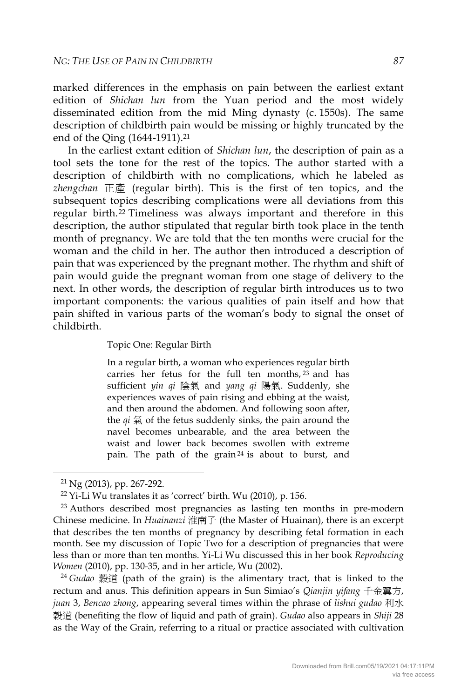marked differences in the emphasis on pain between the earliest extant edition of *Shichan lun* from the Yuan period and the most widely disseminated edition from the mid Ming dynasty (c. 1550s). The same description of childbirth pain would be missing or highly truncated by the end of the Qing (1644-1911).<sup>21</sup>

In the earliest extant edition of *Shichan lun*, the description of pain as a tool sets the tone for the rest of the topics. The author started with a description of childbirth with no complications, which he labeled as *zhengchan* 正產 (regular birth). This is the first of ten topics, and the subsequent topics describing complications were all deviations from this regular birth.22 Timeliness was always important and therefore in this description, the author stipulated that regular birth took place in the tenth month of pregnancy. We are told that the ten months were crucial for the woman and the child in her. The author then introduced a description of pain that was experienced by the pregnant mother. The rhythm and shift of pain would guide the pregnant woman from one stage of delivery to the next. In other words, the description of regular birth introduces us to two important components: the various qualities of pain itself and how that pain shifted in various parts of the woman's body to signal the onset of childbirth.

Topic One: Regular Birth

In a regular birth, a woman who experiences regular birth carries her fetus for the full ten months,  $23$  and has sufficient *yin qi* 陰氣 and *yang qi* 陽氣. Suddenly, she experiences waves of pain rising and ebbing at the waist, and then around the abdomen. And following soon after, the  $qi \nsubseteq$  of the fetus suddenly sinks, the pain around the navel becomes unbearable, and the area between the waist and lower back becomes swollen with extreme pain. The path of the grain<sup>24</sup> is about to burst, and

rectum and anus. This definition appears in Sun Simiao's *Qianjin yifang* 千金翼方, *juan* 3, *Bencao zhong*, appearing several times within the phrase of *lishui gudao* 利水 穀道 (benefiting the flow of liquid and path of grain). *Gudao* also appears in *Shiji* 28 as the Way of the Grain, referring to a ritual or practice associated with cultivation

<sup>&</sup>lt;sup>21</sup> Ng (2013), pp. 267-292.<br><sup>22</sup> Yi-Li Wu translates it as 'correct' birth. Wu (2010), p. 156.<br><sup>23</sup> Authors described most pregnancies as lasting ten months in pre-modern Chinese medicine. In *Huainanzi* 淮南子 (the Master of Huainan), there is an excerpt that describes the ten months of pregnancy by describing fetal formation in each month. See my discussion of Topic Two for a description of pregnancies that were less than or more than ten months. Yi-Li Wu discussed this in her book *Reproducing Women* (2010), pp. 130-35, and in her article, Wu (2002).<br><sup>24</sup> *Gudao* 縠道 (path of the grain) is the alimentary tract, that is linked to the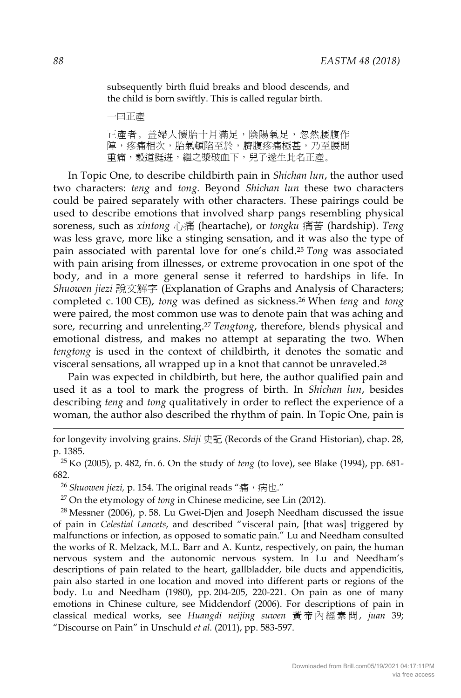subsequently birth fluid breaks and blood descends, and the child is born swiftly. This is called regular birth.

一曰正產

正產者。盖婦人懷胎十月滿足,陰陽氣足,忽然腰腹作 陣,疼痛相次,胎氣頓陷至於,臍腹疼痛極甚,乃至腰間 重痛,穀道挺迸,繼之漿破血下,兒子遂生此名正產。

In Topic One, to describe childbirth pain in *Shichan lun*, the author used two characters: *teng* and *tong.* Beyond *Shichan lun* these two characters could be paired separately with other characters. These pairings could be used to describe emotions that involved sharp pangs resembling physical soreness, such as *xintong* 心痛 (heartache), or *tongku* 痛苦 (hardship). *Teng* was less grave, more like a stinging sensation, and it was also the type of pain associated with parental love for one's child.25 *Tong* was associated with pain arising from illnesses, or extreme provocation in one spot of the body, and in a more general sense it referred to hardships in life. In *Shuowen jiezi* 說文解字 (Explanation of Graphs and Analysis of Characters; completed c. 100 CE), *tong* was defined as sickness.26 When *teng* and *tong* were paired, the most common use was to denote pain that was aching and sore, recurring and unrelenting.27 *Tengtong*, therefore, blends physical and emotional distress, and makes no attempt at separating the two. When *tengtong* is used in the context of childbirth, it denotes the somatic and visceral sensations, all wrapped up in a knot that cannot be unraveled.28

Pain was expected in childbirth, but here, the author qualified pain and used it as a tool to mark the progress of birth. In *Shichan lun*, besides describing *teng* and *tong* qualitatively in order to reflect the experience of a woman, the author also described the rhythm of pain. In Topic One, pain is

for longevity involving grains. *Shiji* 史記 (Records of the Grand Historian), chap. 28, p. 1385.

<sup>25</sup> Ko (2005), p. 482, fn. 6. On the study of *teng* (to love), see Blake (1994), pp. 681- 682.

<sup>26</sup> Shuowen jiezi, p. 154. The original reads "痛,病也."

<sup>27</sup> On the etymology of *tong* in Chinese medicine, see Lin (2012).

 $28$  Messner (2006), p. 58. Lu Gwei-Djen and Joseph Needham discussed the issue of pain in *Celestial Lancets*, and described "visceral pain, [that was] triggered by malfunctions or infection, as opposed to somatic pain." Lu and Needham consulted the works of R. Melzack, M.L. Barr and A. Kuntz, respectively, on pain, the human nervous system and the autonomic nervous system. In Lu and Needham's descriptions of pain related to the heart, gallbladder, bile ducts and appendicitis, pain also started in one location and moved into different parts or regions of the body. Lu and Needham (1980), pp. 204-205, 220-221. On pain as one of many emotions in Chinese culture, see Middendorf (2006). For descriptions of pain in classical medical works, see *Huangdi neijing suwen* 黃帝內經素問 , *juan* 39; "Discourse on Pain" in Unschuld *et al.* (2011), pp. 583-597.

-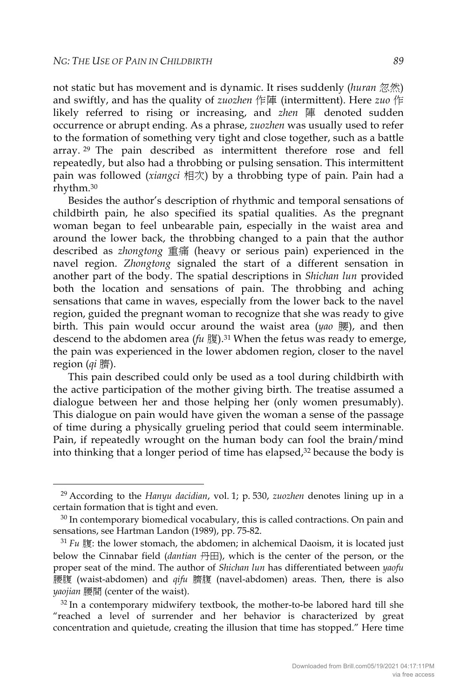not static but has movement and is dynamic. It rises suddenly (*huran* 忽然) and swiftly, and has the quality of *zuozhen* 作陣 (intermittent). Here *zuo* 作 likely referred to rising or increasing, and *zhen* 陣 denoted sudden occurrence or abrupt ending. As a phrase, *zuozhen* was usually used to refer to the formation of something very tight and close together, such as a battle array. <sup>29</sup> The pain described as intermittent therefore rose and fell repeatedly, but also had a throbbing or pulsing sensation. This intermittent pain was followed (*xiangci* 相次) by a throbbing type of pain. Pain had a rhythm.30

Besides the author's description of rhythmic and temporal sensations of childbirth pain, he also specified its spatial qualities. As the pregnant woman began to feel unbearable pain, especially in the waist area and around the lower back, the throbbing changed to a pain that the author described as *zhongtong* 重痛 (heavy or serious pain) experienced in the navel region. *Zhongtong* signaled the start of a different sensation in another part of the body. The spatial descriptions in *Shichan lun* provided both the location and sensations of pain. The throbbing and aching sensations that came in waves, especially from the lower back to the navel region, guided the pregnant woman to recognize that she was ready to give birth. This pain would occur around the waist area (*yao* 腰), and then descend to the abdomen area (*fu* 腹).<sup>31</sup> When the fetus was ready to emerge, the pain was experienced in the lower abdomen region, closer to the navel region (*qi* 臍).

This pain described could only be used as a tool during childbirth with the active participation of the mother giving birth. The treatise assumed a dialogue between her and those helping her (only women presumably). This dialogue on pain would have given the woman a sense of the passage of time during a physically grueling period that could seem interminable. Pain, if repeatedly wrought on the human body can fool the brain/mind into thinking that a longer period of time has elapsed,<sup>32</sup> because the body is

 <sup>29</sup> According to the *Hanyu dacidian*, vol. 1; p. 530, *zuozhen* denotes lining up in a certain formation that is tight and even.<br><sup>30</sup> In contemporary biomedical vocabulary, this is called contractions. On pain and

sensations, see Hartman Landon (1989), pp. 75-82.

 $31$   $Fu$   $B\!ij$ ; the lower stomach, the abdomen; in alchemical Daoism, it is located just below the Cinnabar field (*dantian* 丹田), which is the center of the person, or the proper seat of the mind. The author of *Shichan lun* has differentiated between *yaofu* 腰腹 (waist-abdomen) and *qifu* 臍腹 (navel-abdomen) areas. Then, there is also *yaojian* 腰間 (center of the waist).

 $32$  In a contemporary midwifery textbook, the mother-to-be labored hard till she "reached a level of surrender and her behavior is characterized by great concentration and quietude, creating the illusion that time has stopped." Here time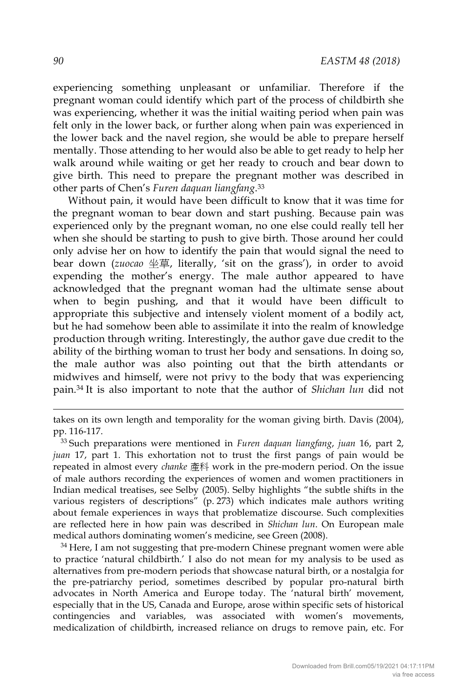experiencing something unpleasant or unfamiliar. Therefore if the pregnant woman could identify which part of the process of childbirth she was experiencing, whether it was the initial waiting period when pain was felt only in the lower back, or further along when pain was experienced in the lower back and the navel region, she would be able to prepare herself mentally. Those attending to her would also be able to get ready to help her walk around while waiting or get her ready to crouch and bear down to give birth. This need to prepare the pregnant mother was described in other parts of Chen's *Furen daquan liangfang*.33

Without pain, it would have been difficult to know that it was time for the pregnant woman to bear down and start pushing. Because pain was experienced only by the pregnant woman, no one else could really tell her when she should be starting to push to give birth. Those around her could only advise her on how to identify the pain that would signal the need to bear down (*zuocao* 坐草, literally, 'sit on the grass'), in order to avoid expending the mother's energy. The male author appeared to have acknowledged that the pregnant woman had the ultimate sense about when to begin pushing, and that it would have been difficult to appropriate this subjective and intensely violent moment of a bodily act, but he had somehow been able to assimilate it into the realm of knowledge production through writing. Interestingly, the author gave due credit to the ability of the birthing woman to trust her body and sensations. In doing so, the male author was also pointing out that the birth attendants or midwives and himself, were not privy to the body that was experiencing pain.34 It is also important to note that the author of *Shichan lun* did not

to practice 'natural childbirth.' I also do not mean for my analysis to be used as alternatives from pre-modern periods that showcase natural birth, or a nostalgia for the pre-patriarchy period, sometimes described by popular pro-natural birth advocates in North America and Europe today. The 'natural birth' movement, especially that in the US, Canada and Europe, arose within specific sets of historical contingencies and variables, was associated with women's movements, medicalization of childbirth, increased reliance on drugs to remove pain, etc. For

-

takes on its own length and temporality for the woman giving birth. Davis (2004), pp. 116-117. 33 Such preparations were mentioned in *Furen daquan liangfang*, *juan* 16, part 2,

*juan* 17, part 1. This exhortation not to trust the first pangs of pain would be repeated in almost every *chanke* 產科 work in the pre-modern period. On the issue of male authors recording the experiences of women and women practitioners in Indian medical treatises, see Selby (2005). Selby highlights "the subtle shifts in the various registers of descriptions" (p. 273) which indicates male authors writing about female experiences in ways that problematize discourse. Such complexities are reflected here in how pain was described in *Shichan lun*. On European male medical authors dominating women's medicine, see Green (2008).<br><sup>34</sup> Here, I am not suggesting that pre-modern Chinese pregnant women were able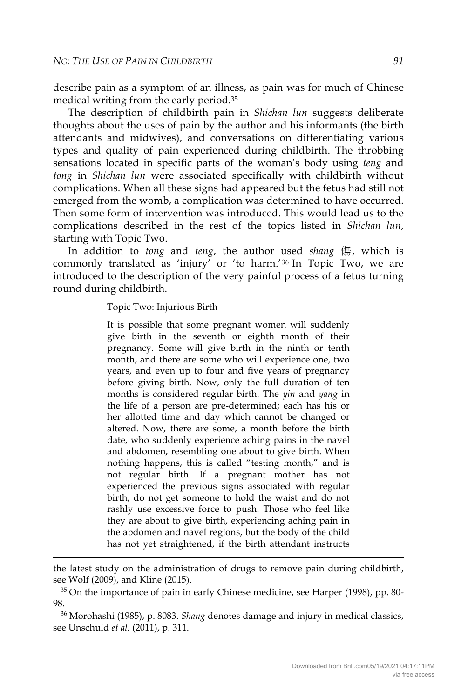describe pain as a symptom of an illness, as pain was for much of Chinese medical writing from the early period.35

The description of childbirth pain in *Shichan lun* suggests deliberate thoughts about the uses of pain by the author and his informants (the birth attendants and midwives), and conversations on differentiating various types and quality of pain experienced during childbirth. The throbbing sensations located in specific parts of the woman's body using *teng* and *tong* in *Shichan lun* were associated specifically with childbirth without complications. When all these signs had appeared but the fetus had still not emerged from the womb, a complication was determined to have occurred. Then some form of intervention was introduced. This would lead us to the complications described in the rest of the topics listed in *Shichan lun*, starting with Topic Two.

In addition to *tong* and *teng*, the author used *shang* 傷, which is commonly translated as 'injury' or 'to harm.'36 In Topic Two, we are introduced to the description of the very painful process of a fetus turning round during childbirth.

Topic Two: Injurious Birth

-

It is possible that some pregnant women will suddenly give birth in the seventh or eighth month of their pregnancy. Some will give birth in the ninth or tenth month, and there are some who will experience one, two years, and even up to four and five years of pregnancy before giving birth. Now, only the full duration of ten months is considered regular birth. The *yin* and *yang* in the life of a person are pre-determined; each has his or her allotted time and day which cannot be changed or altered. Now, there are some, a month before the birth date, who suddenly experience aching pains in the navel and abdomen, resembling one about to give birth. When nothing happens, this is called "testing month," and is not regular birth. If a pregnant mother has not experienced the previous signs associated with regular birth, do not get someone to hold the waist and do not rashly use excessive force to push. Those who feel like they are about to give birth, experiencing aching pain in the abdomen and navel regions, but the body of the child has not yet straightened, if the birth attendant instructs

the latest study on the administration of drugs to remove pain during childbirth, see Wolf (2009), and Kline (2015).

<sup>35</sup> On the importance of pain in early Chinese medicine, see Harper (1998), pp. 80- 98.

<sup>36</sup> Morohashi (1985), p. 8083. *Shang* denotes damage and injury in medical classics, see Unschuld *et al.* (2011), p. 311.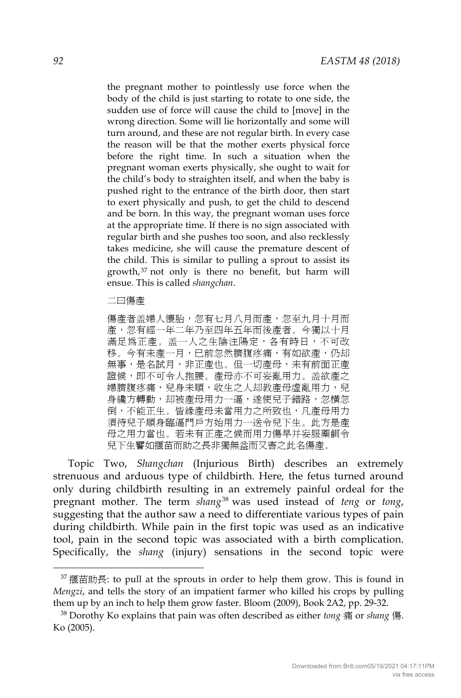the pregnant mother to pointlessly use force when the body of the child is just starting to rotate to one side, the sudden use of force will cause the child to [move] in the wrong direction. Some will lie horizontally and some will turn around, and these are not regular birth. In every case the reason will be that the mother exerts physical force before the right time. In such a situation when the pregnant woman exerts physically, she ought to wait for the child's body to straighten itself, and when the baby is pushed right to the entrance of the birth door, then start to exert physically and push, to get the child to descend and be born. In this way, the pregnant woman uses force at the appropriate time. If there is no sign associated with regular birth and she pushes too soon, and also recklessly takes medicine, she will cause the premature descent of the child. This is similar to pulling a sprout to assist its growth, <sup>37</sup> not only is there no benefit, but harm will ensue. This is called *shangchan*.

二曰傷產

傷產者盖婦人懷胎,忽有七月八月而產,忽至九月十月而 產,忽有經一年二年乃至四年五年而後產者。今獨以十月 滿足為正產。盖一人之生陰注陽定,各有時日,不可改 移。今有未產一月,已前忽然臍腹疼痛,有如欲產,仍却 無事,是名試月,非正產也。但一切產母,未有前面正產 證候,即不可令人抱腰。產母亦不可妄亂用力。盖欲產之 婦臍腹疼痛,兒身未順,收生之人却教產母虛亂用力,兒 身纔方轉動,却被產母用力一逼,遂使兒子錯路,忽橫忽 倒,不能正生。皆綠產母未當用力之所致也,凡產母用力 須待兒子順身臨逼門戶方始用力一送令兒下生。此方是產 母之用力當也。若未有正產之候而用力傷早并妄服藥餌令 兒下生譬如揠苗而助之長非獨無益而又害之此名傷產。

Topic Two, *Shangchan* (Injurious Birth) describes an extremely strenuous and arduous type of childbirth. Here*,* the fetus turned around only during childbirth resulting in an extremely painful ordeal for the pregnant mother. The term *shang*<sup>38</sup> was used instead of *teng* or *tong*, suggesting that the author saw a need to differentiate various types of pain during childbirth. While pain in the first topic was used as an indicative tool, pain in the second topic was associated with a birth complication. Specifically, the *shang* (injury) sensations in the second topic were

 $37$  揠苗助長: to pull at the sprouts in order to help them grow. This is found in *Mengzi*, and tells the story of an impatient farmer who killed his crops by pulling them up by an inch to help them grow faster. Bloom (2009), Book 2A2, pp. 29-32. 38 Dorothy Ko explains that pain was often described as either *tong* <sup>痛</sup> or *shang* <sup>傷</sup>.

Ko (2005).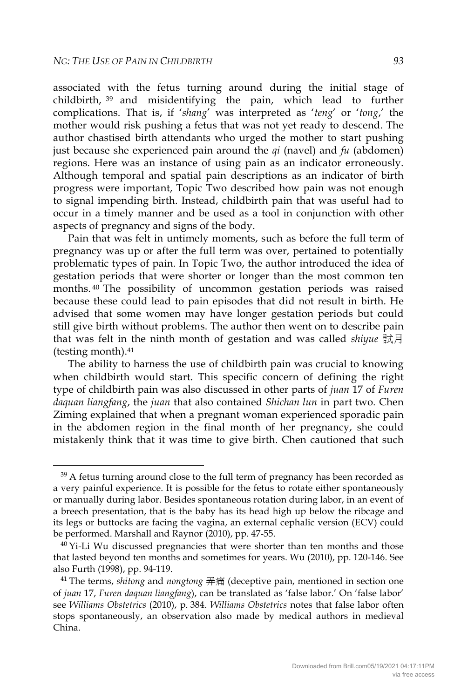associated with the fetus turning around during the initial stage of childbirth, <sup>39</sup> and misidentifying the pain, which lead to further complications. That is, if '*shang*' was interpreted as '*teng*' or '*tong*,' the mother would risk pushing a fetus that was not yet ready to descend. The author chastised birth attendants who urged the mother to start pushing just because she experienced pain around the *qi* (navel) and *fu* (abdomen) regions. Here was an instance of using pain as an indicator erroneously. Although temporal and spatial pain descriptions as an indicator of birth progress were important, Topic Two described how pain was not enough to signal impending birth. Instead, childbirth pain that was useful had to occur in a timely manner and be used as a tool in conjunction with other aspects of pregnancy and signs of the body.

Pain that was felt in untimely moments, such as before the full term of pregnancy was up or after the full term was over, pertained to potentially problematic types of pain. In Topic Two, the author introduced the idea of gestation periods that were shorter or longer than the most common ten months. <sup>40</sup> The possibility of uncommon gestation periods was raised because these could lead to pain episodes that did not result in birth. He advised that some women may have longer gestation periods but could still give birth without problems. The author then went on to describe pain that was felt in the ninth month of gestation and was called *shiyue* 試月 (testing month).41

The ability to harness the use of childbirth pain was crucial to knowing when childbirth would start. This specific concern of defining the right type of childbirth pain was also discussed in other parts of *juan* 17 of *Furen daquan liangfang*, the *juan* that also contained *Shichan lun* in part two*.* Chen Ziming explained that when a pregnant woman experienced sporadic pain in the abdomen region in the final month of her pregnancy, she could mistakenly think that it was time to give birth. Chen cautioned that such

<sup>&</sup>lt;sup>39</sup> A fetus turning around close to the full term of pregnancy has been recorded as a very painful experience. It is possible for the fetus to rotate either spontaneously or manually during labor. Besides spontaneous rotation during labor, in an event of a breech presentation, that is the baby has its head high up below the ribcage and its legs or buttocks are facing the vagina, an external cephalic version (ECV) could be performed. Marshall and Raynor (2010), pp. 47-55.<br><sup>40</sup> Yi-Li Wu discussed pregnancies that were shorter than ten months and those

that lasted beyond ten months and sometimes for years. Wu (2010), pp. 120-146. See also Furth (1998), pp. 94-119.

<sup>41</sup> The terms, *shitong* and *nongtong* 弄痛 (deceptive pain, mentioned in section one of *juan* 17, *Furen daquan liangfang*), can be translated as 'false labor.' On 'false labor' see *Williams Obstetrics* (2010), p. 384. *Williams Obstetrics* notes that false labor often stops spontaneously, an observation also made by medical authors in medieval China.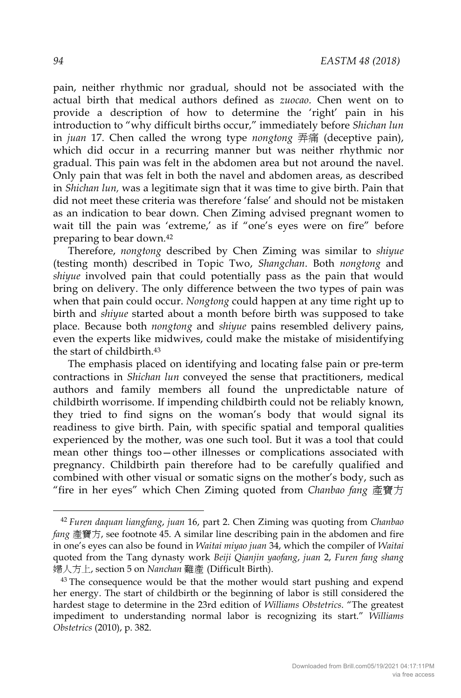pain, neither rhythmic nor gradual, should not be associated with the actual birth that medical authors defined as *zuocao*. Chen went on to provide a description of how to determine the 'right' pain in his introduction to "why difficult births occur," immediately before *Shichan lun* in *juan* 17. Chen called the wrong type *nongtong* 弄痛 (deceptive pain), which did occur in a recurring manner but was neither rhythmic nor gradual. This pain was felt in the abdomen area but not around the navel. Only pain that was felt in both the navel and abdomen areas, as described in *Shichan lun,* was a legitimate sign that it was time to give birth. Pain that did not meet these criteria was therefore 'false' and should not be mistaken as an indication to bear down. Chen Ziming advised pregnant women to wait till the pain was 'extreme,' as if "one's eyes were on fire" before preparing to bear down.42

Therefore, *nongtong* described by Chen Ziming was similar to *shiyue* (testing month) described in Topic Two, *Shangchan*. Both *nongtong* and *shiyue* involved pain that could potentially pass as the pain that would bring on delivery. The only difference between the two types of pain was when that pain could occur. *Nongtong* could happen at any time right up to birth and *shiyue* started about a month before birth was supposed to take place. Because both *nongtong* and *shiyue* pains resembled delivery pains, even the experts like midwives, could make the mistake of misidentifying the start of childbirth.43

The emphasis placed on identifying and locating false pain or pre-term contractions in *Shichan lun* conveyed the sense that practitioners, medical authors and family members all found the unpredictable nature of childbirth worrisome. If impending childbirth could not be reliably known, they tried to find signs on the woman's body that would signal its readiness to give birth. Pain, with specific spatial and temporal qualities experienced by the mother, was one such tool. But it was a tool that could mean other things too—other illnesses or complications associated with pregnancy. Childbirth pain therefore had to be carefully qualified and combined with other visual or somatic signs on the mother's body, such as "fire in her eyes" which Chen Ziming quoted from *Chanbao fang* 產寶方

 <sup>42</sup> *Furen daquan liangfang*, *juan* 16, part 2. Chen Ziming was quoting from *Chanbao fang* 產寶方, see footnote 45. A similar line describing pain in the abdomen and fire in one's eyes can also be found in *Waitai miyao juan* 34, which the compiler of *Waitai*  quoted from the Tang dynasty work *Beiji Qianjin yaofang*, *juan* 2, *Furen fang shang* 婦人方上, section 5 on *Nanchan* 難產 (Difficult Birth).

 $43$  The consequence would be that the mother would start pushing and expend her energy. The start of childbirth or the beginning of labor is still considered the hardest stage to determine in the 23rd edition of *Williams Obstetrics*. "The greatest impediment to understanding normal labor is recognizing its start." *Williams Obstetrics* (2010), p. 382.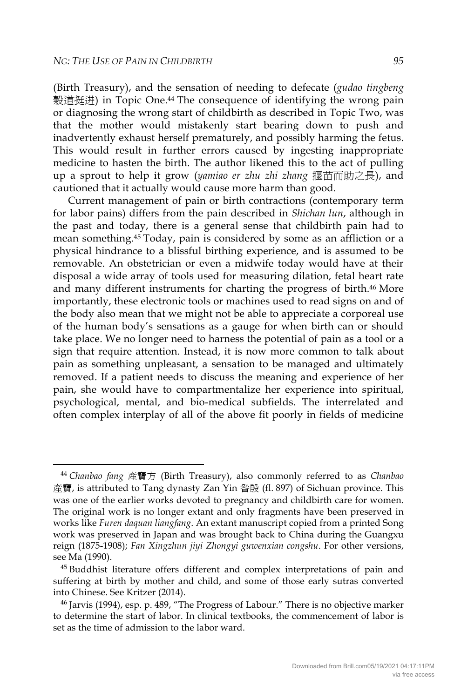(Birth Treasury), and the sensation of needing to defecate (*gudao tingbeng* 穀道挺迸) in Topic One.<sup>44</sup> The consequence of identifying the wrong pain or diagnosing the wrong start of childbirth as described in Topic Two, was that the mother would mistakenly start bearing down to push and inadvertently exhaust herself prematurely, and possibly harming the fetus. This would result in further errors caused by ingesting inappropriate medicine to hasten the birth. The author likened this to the act of pulling up a sprout to help it grow (*yamiao er zhu zhi zhang* 揠苗而助之長), and cautioned that it actually would cause more harm than good.

Current management of pain or birth contractions (contemporary term for labor pains) differs from the pain described in *Shichan lun*, although in the past and today, there is a general sense that childbirth pain had to mean something.45 Today, pain is considered by some as an affliction or a physical hindrance to a blissful birthing experience, and is assumed to be removable. An obstetrician or even a midwife today would have at their disposal a wide array of tools used for measuring dilation, fetal heart rate and many different instruments for charting the progress of birth.<sup>46</sup> More importantly, these electronic tools or machines used to read signs on and of the body also mean that we might not be able to appreciate a corporeal use of the human body's sensations as a gauge for when birth can or should take place. We no longer need to harness the potential of pain as a tool or a sign that require attention. Instead, it is now more common to talk about pain as something unpleasant, a sensation to be managed and ultimately removed. If a patient needs to discuss the meaning and experience of her pain, she would have to compartmentalize her experience into spiritual, psychological, mental, and bio-medical subfields. The interrelated and often complex interplay of all of the above fit poorly in fields of medicine

 <sup>44</sup> *Chanbao fang* 產寶方 (Birth Treasury), also commonly referred to as *Chanbao* 產寶, is attributed to Tang dynasty Zan Yin 昝殷 (fl. 897) of Sichuan province. This was one of the earlier works devoted to pregnancy and childbirth care for women. The original work is no longer extant and only fragments have been preserved in works like *Furen daquan liangfang*. An extant manuscript copied from a printed Song work was preserved in Japan and was brought back to China during the Guangxu reign (1875-1908); *Fan Xingzhun jiyi Zhongyi guwenxian congshu*. For other versions, see Ma (1990).<br><sup>45</sup> Buddhist literature offers different and complex interpretations of pain and

suffering at birth by mother and child, and some of those early sutras converted into Chinese. See Kritzer (2014). 46 Jarvis (1994), esp. p. 489, "The Progress of Labour." There is no objective marker

to determine the start of labor. In clinical textbooks, the commencement of labor is set as the time of admission to the labor ward.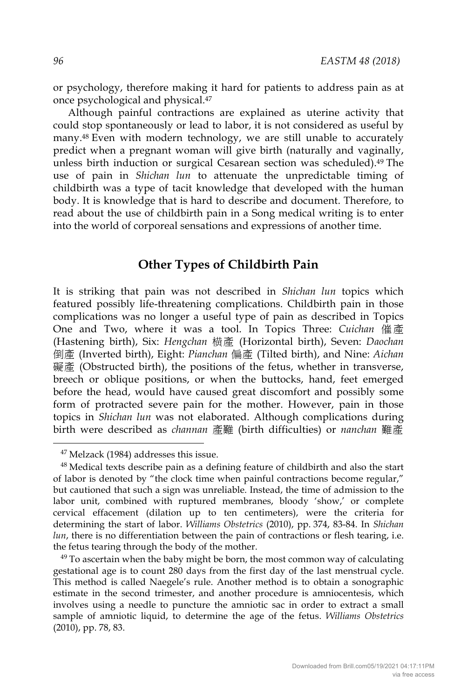or psychology, therefore making it hard for patients to address pain as at once psychological and physical.47

Although painful contractions are explained as uterine activity that could stop spontaneously or lead to labor, it is not considered as useful by many.48 Even with modern technology, we are still unable to accurately predict when a pregnant woman will give birth (naturally and vaginally, unless birth induction or surgical Cesarean section was scheduled).49 The use of pain in *Shichan lun* to attenuate the unpredictable timing of childbirth was a type of tacit knowledge that developed with the human body. It is knowledge that is hard to describe and document. Therefore, to read about the use of childbirth pain in a Song medical writing is to enter into the world of corporeal sensations and expressions of another time.

# **Other Types of Childbirth Pain**

It is striking that pain was not described in *Shichan lun* topics which featured possibly life-threatening complications. Childbirth pain in those complications was no longer a useful type of pain as described in Topics One and Two, where it was a tool. In Topics Three: *Cuichan* 催產 (Hastening birth), Six: *Hengchan* 横產 (Horizontal birth), Seven: *Daochan* 倒產 (Inverted birth), Eight: *Pianchan* 偏產 (Tilted birth), and Nine: *Aichan*  礙產 (Obstructed birth), the positions of the fetus, whether in transverse, breech or oblique positions, or when the buttocks, hand, feet emerged before the head, would have caused great discomfort and possibly some form of protracted severe pain for the mother. However, pain in those topics in *Shichan lun* was not elaborated. Although complications during birth were described as *channan* 產難 (birth difficulties) or *nanchan* 難產

 <sup>47</sup> Melzack (1984) addresses this issue.

<sup>48</sup> Medical texts describe pain as a defining feature of childbirth and also the start of labor is denoted by "the clock time when painful contractions become regular," but cautioned that such a sign was unreliable. Instead, the time of admission to the labor unit, combined with ruptured membranes, bloody 'show,' or complete cervical effacement (dilation up to ten centimeters), were the criteria for determining the start of labor. *Williams Obstetrics* (2010), pp. 374, 83-84. In *Shichan lun*, there is no differentiation between the pain of contractions or flesh tearing, i.e. the fetus tearing through the body of the mother.

 $49$  To ascertain when the baby might be born, the most common way of calculating gestational age is to count 280 days from the first day of the last menstrual cycle. This method is called Naegele's rule. Another method is to obtain a sonographic estimate in the second trimester, and another procedure is amniocentesis, which involves using a needle to puncture the amniotic sac in order to extract a small sample of amniotic liquid, to determine the age of the fetus. *Williams Obstetrics* (2010), pp. 78, 83.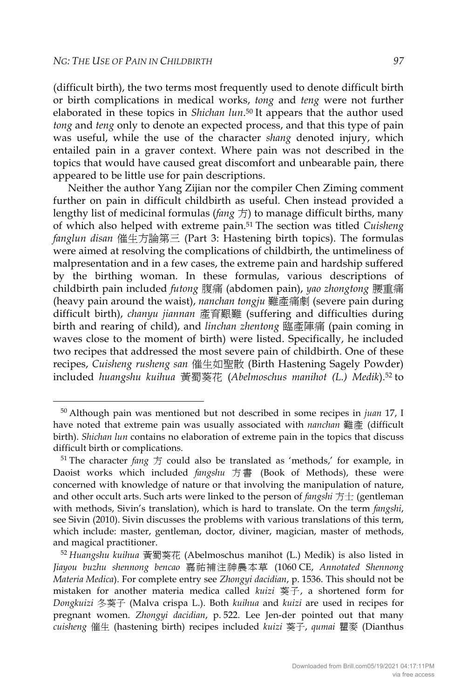(difficult birth), the two terms most frequently used to denote difficult birth or birth complications in medical works, *tong* and *teng* were not further elaborated in these topics in *Shichan lun*.50 It appears that the author used *tong* and *teng* only to denote an expected process, and that this type of pain was useful, while the use of the character *shang* denoted injury, which entailed pain in a graver context. Where pain was not described in the topics that would have caused great discomfort and unbearable pain, there appeared to be little use for pain descriptions.

Neither the author Yang Zijian nor the compiler Chen Ziming comment further on pain in difficult childbirth as useful. Chen instead provided a lengthy list of medicinal formulas (*fang* 方) to manage difficult births, many of which also helped with extreme pain.51 The section was titled *Cuisheng fanglun disan* 催生方論第三 (Part 3: Hastening birth topics). The formulas were aimed at resolving the complications of childbirth, the untimeliness of malpresentation and in a few cases, the extreme pain and hardship suffered by the birthing woman. In these formulas, various descriptions of childbirth pain included *futong* 腹痛 (abdomen pain), *yao zhongtong* 腰重痛 (heavy pain around the waist), *nanchan tongju* 難產痛劇 (severe pain during difficult birth), *chanyu jiannan* 產育艱難 (suffering and difficulties during birth and rearing of child), and *linchan zhentong* 臨產陣痛 (pain coming in waves close to the moment of birth) were listed. Specifically, he included two recipes that addressed the most severe pain of childbirth. One of these recipes, *Cuisheng rusheng san* 催生如聖散 (Birth Hastening Sagely Powder) included *huangshu kuihua* 黃蜀葵花 (*Abelmoschus manihot (L.) Medik*).52 to

 <sup>50</sup> Although pain was mentioned but not described in some recipes in *juan* 17, I have noted that extreme pain was usually associated with *nanchan* 難產 (difficult birth). *Shichan lun* contains no elaboration of extreme pain in the topics that discuss difficult birth or complications.  $51$  The character *fang*  $\overline{f}$  could also be translated as 'methods,' for example, in

Daoist works which included *fangshu* 方 書 (Book of Methods), these were concerned with knowledge of nature or that involving the manipulation of nature, and other occult arts. Such arts were linked to the person of *fangshi* 方士 (gentleman with methods, Sivin's translation), which is hard to translate. On the term *fangshi*, see Sivin (2010). Sivin discusses the problems with various translations of this term, which include: master, gentleman, doctor, diviner, magician, master of methods, and magical practitioner.

<sup>52</sup> *Huangshu kuihua* 黃蜀葵花 (Abelmoschus manihot (L.) Medik) is also listed in *Jiayou buzhu shennong bencao* 嘉祐補注神農本草 (1060 CE, *Annotated Shennong Materia Medica*). For complete entry see *Zhongyi dacidian*, p. 1536. This should not be mistaken for another materia medica called *kuizi* 葵子, a shortened form for *Dongkuizi* 冬葵子 (Malva crispa L.). Both *kuihua* and *kuizi* are used in recipes for pregnant women. *Zhongyi dacidian*, p. 522. Lee Jen-der pointed out that many *cuisheng* 催生 (hastening birth) recipes included *kuizi* 葵子, *qumai* 瞿麥 (Dianthus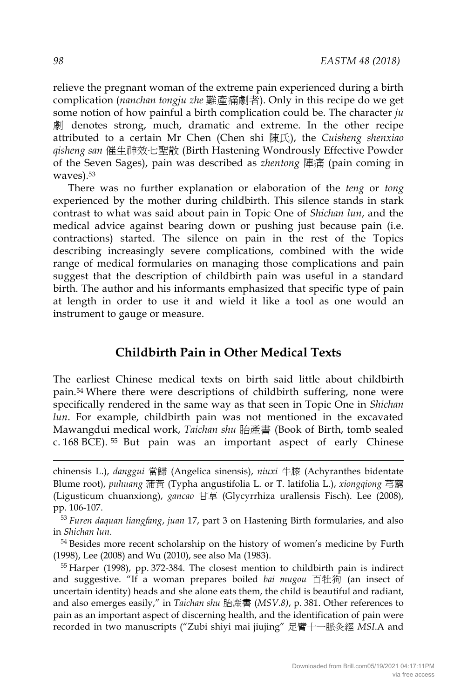relieve the pregnant woman of the extreme pain experienced during a birth complication (*nanchan tongju zhe* 難產痛劇者). Only in this recipe do we get some notion of how painful a birth complication could be. The character *ju*  劇 denotes strong, much, dramatic and extreme. In the other recipe attributed to a certain Mr Chen (Chen shi 陳氏), the *Cuisheng shenxiao qisheng san* 催生神效七聖散 (Birth Hastening Wondrously Effective Powder of the Seven Sages), pain was described as *zhentong* 陣痛 (pain coming in waves).53

There was no further explanation or elaboration of the *teng* or *tong* experienced by the mother during childbirth. This silence stands in stark contrast to what was said about pain in Topic One of *Shichan lun*, and the medical advice against bearing down or pushing just because pain (i.e. contractions) started. The silence on pain in the rest of the Topics describing increasingly severe complications, combined with the wide range of medical formularies on managing those complications and pain suggest that the description of childbirth pain was useful in a standard birth. The author and his informants emphasized that specific type of pain at length in order to use it and wield it like a tool as one would an instrument to gauge or measure.

### **Childbirth Pain in Other Medical Texts**

The earliest Chinese medical texts on birth said little about childbirth pain.54 Where there were descriptions of childbirth suffering, none were specifically rendered in the same way as that seen in Topic One in *Shichan lun*. For example, childbirth pain was not mentioned in the excavated Mawangdui medical work, *Taichan shu* 胎產書 (Book of Birth, tomb sealed c. 168 BCE). <sup>55</sup> But pain was an important aspect of early Chinese

-

chinensis L.), *danggui* 當歸 (Angelica sinensis), *niuxi* 牛膝 (Achyranthes bidentate Blume root), *puhuang* 蒲黃 (Typha angustifolia L. or T. latifolia L.), *xiongqiong* 芎藭 (Ligusticum chuanxiong), *gancao* 甘草 (Glycyrrhiza urallensis Fisch). Lee (2008), pp. 106-107.

<sup>53</sup> *Furen daquan liangfang*, *juan* 17, part 3 on Hastening Birth formularies, and also in *Shichan lun.* 

<sup>&</sup>lt;sup>54</sup> Besides more recent scholarship on the history of women's medicine by Furth (1998), Lee (2008) and Wu (2010), see also Ma (1983).<br> $55$  Harper (1998), pp. 372-384. The closest mention to childbirth pain is indirect

and suggestive. "If a woman prepares boiled *bai mugou* 百牡狗 (an insect of uncertain identity) heads and she alone eats them, the child is beautiful and radiant, and also emerges easily," in *Taichan shu* 胎產書 (*MSV.8)*, p. 381. Other references to pain as an important aspect of discerning health, and the identification of pain were recorded in two manuscripts ("Zubi shiyi mai jiujing" 足臂十一脈灸經 *MSI*.A and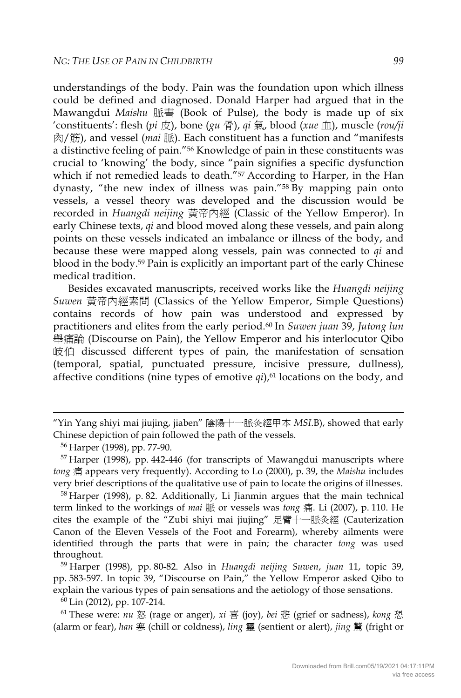understandings of the body. Pain was the foundation upon which illness could be defined and diagnosed. Donald Harper had argued that in the Mawangdui *Maishu* 脈書 (Book of Pulse), the body is made up of six 'constituents': flesh (*pi* 皮), bone (*gu* 骨), *qi* 氣, blood (*xue* 血), muscle (*rou/ji* 肉/筋), and vessel (*mai* 脈). Each constituent has a function and "manifests a distinctive feeling of pain."56 Knowledge of pain in these constituents was crucial to 'knowing' the body, since "pain signifies a specific dysfunction which if not remedied leads to death."<sup>57</sup> According to Harper, in the Han dynasty, "the new index of illness was pain."58 By mapping pain onto vessels, a vessel theory was developed and the discussion would be recorded in *Huangdi neijing* 黃帝內經 (Classic of the Yellow Emperor). In early Chinese texts, *qi* and blood moved along these vessels, and pain along points on these vessels indicated an imbalance or illness of the body, and because these were mapped along vessels, pain was connected to *qi* and blood in the body.59 Pain is explicitly an important part of the early Chinese medical tradition.

Besides excavated manuscripts, received works like the *Huangdi neijing Suwen* 黃帝內經素問 (Classics of the Yellow Emperor, Simple Questions) contains records of how pain was understood and expressed by practitioners and elites from the early period.60 In *Suwen juan* 39, *Jutong lun* 舉痛論 (Discourse on Pain), the Yellow Emperor and his interlocutor Qibo 岐伯 discussed different types of pain, the manifestation of sensation (temporal, spatial, punctuated pressure, incisive pressure, dullness), affective conditions (nine types of emotive  $qi$ ),<sup> $61$ </sup> locations on the body, and

-

<sup>58</sup> Harper (1998), p. 82. Additionally, Li Jianmin argues that the main technical term linked to the workings of *mai* 脈 or vessels was *tong* 痛. Li (2007), p. 110. He cites the example of the "Zubi shiyi mai jiujing" 足臂十一脈灸經 (Cauterization Canon of the Eleven Vessels of the Foot and Forearm), whereby ailments were identified through the parts that were in pain; the character *tong* was used throughout.

<sup>59</sup> Harper (1998), pp. 80-82. Also in *Huangdi neijing Suwen*, *juan* 11, topic 39, pp. 583-597. In topic 39, "Discourse on Pain," the Yellow Emperor asked Qibo to explain the various types of pain sensations and the aetiology of those sensations.

<sup>60</sup> Lin (2012), pp. 107-214. 61 These were: *nu* <sup>怒</sup> (rage or anger), *xi* <sup>喜</sup> (joy), *bei* <sup>悲</sup> (grief or sadness), *kong* <sup>恐</sup> (alarm or fear), *han* 寒 (chill or coldness), *ling* 靈 (sentient or alert), *jing* 驚 (fright or

<sup>&</sup>quot;Yin Yang shiyi mai jiujing, jiaben" 陰陽十一脈灸經甲本 *MSI*.B), showed that early Chinese depiction of pain followed the path of the vessels.

<sup>&</sup>lt;sup>56</sup> Harper (1998), pp. 77-90.<br><sup>57</sup> Harper (1998), pp. 442-446 (for transcripts of Mawangdui manuscripts where *tong* 痛 appears very frequently). According to Lo (2000), p. 39, the *Maishu* includes very brief descriptions of the qualitative use of pain to locate the origins of illnesses.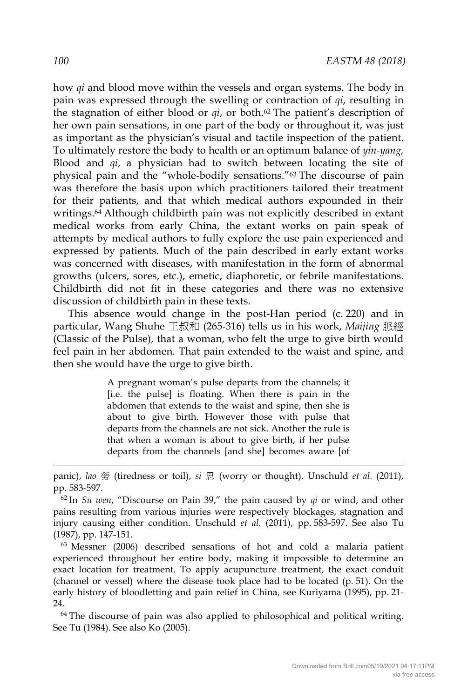how *qi* and blood move within the vessels and organ systems. The body in pain was expressed through the swelling or contraction of *qi*, resulting in the stagnation of either blood or *qi*, or both.62 The patient's description of her own pain sensations, in one part of the body or throughout it, was just as important as the physician's visual and tactile inspection of the patient. To ultimately restore the body to health or an optimum balance of *yin-yang,*  Blood and *qi*, a physician had to switch between locating the site of physical pain and the "whole-bodily sensations."63 The discourse of pain was therefore the basis upon which practitioners tailored their treatment for their patients, and that which medical authors expounded in their writings.64 Although childbirth pain was not explicitly described in extant medical works from early China, the extant works on pain speak of attempts by medical authors to fully explore the use pain experienced and expressed by patients. Much of the pain described in early extant works was concerned with diseases, with manifestation in the form of abnormal growths (ulcers, sores, etc.), emetic, diaphoretic, or febrile manifestations. Childbirth did not fit in these categories and there was no extensive discussion of childbirth pain in these texts.

This absence would change in the post-Han period (c. 220) and in particular, Wang Shuhe 王叔和 (265-316) tells us in his work, *Maijing* 脈經 (Classic of the Pulse), that a woman, who felt the urge to give birth would feel pain in her abdomen. That pain extended to the waist and spine, and then she would have the urge to give birth.

> A pregnant woman's pulse departs from the channels; it [i.e. the pulse] is floating. When there is pain in the abdomen that extends to the waist and spine, then she is about to give birth. However those with pulse that departs from the channels are not sick. Another the rule is that when a woman is about to give birth, if her pulse departs from the channels [and she] becomes aware [of

<sup>63</sup> Messner (2006) described sensations of hot and cold a malaria patient experienced throughout her entire body, making it impossible to determine an exact location for treatment. To apply acupuncture treatment, the exact conduit (channel or vessel) where the disease took place had to be located (p. 51). On the early history of bloodletting and pain relief in China, see Kuriyama (1995), pp. 21- 24.

 $64$  The discourse of pain was also applied to philosophical and political writing. See Tu (1984). See also Ko (2005).

-

panic), *lao* 勞 (tiredness or toil), *si* 思 (worry or thought). Unschuld *et al.* (2011), pp. 583-597.

<sup>62</sup> In *Su wen*, "Discourse on Pain 39," the pain caused by *qi* or wind, and other pains resulting from various injuries were respectively blockages, stagnation and injury causing either condition. Unschuld *et al.* (2011), pp. 583-597. See also Tu (1987), pp. 147-151.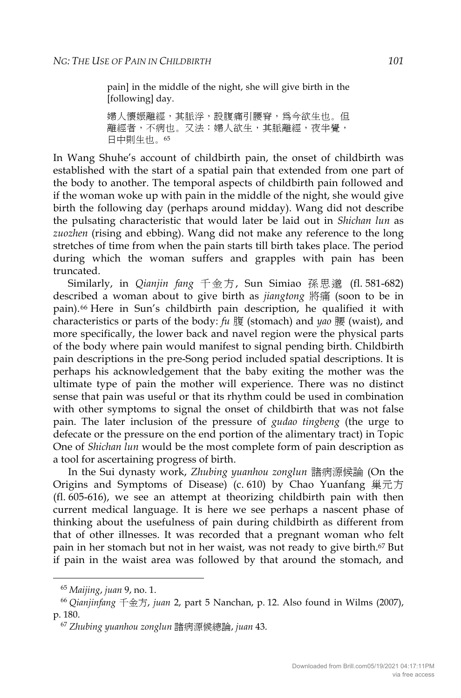pain] in the middle of the night, she will give birth in the [following] day.

婦人懷娠離經,其脈浮,設腹痛引腰脊,為今欲生也。但 離經者,不病也。又法:婦人欲生,其脈離經,夜半覺, 日中則生也。<sup>65</sup>

In Wang Shuhe's account of childbirth pain, the onset of childbirth was established with the start of a spatial pain that extended from one part of the body to another. The temporal aspects of childbirth pain followed and if the woman woke up with pain in the middle of the night, she would give birth the following day (perhaps around midday). Wang did not describe the pulsating characteristic that would later be laid out in *Shichan lun* as *zuozhen* (rising and ebbing). Wang did not make any reference to the long stretches of time from when the pain starts till birth takes place. The period during which the woman suffers and grapples with pain has been truncated.

Similarly, in *Qianjin fang* 千金方, Sun Simiao 孫思邈 (fl. 581-682) described a woman about to give birth as *jiangtong* 將痛 (soon to be in pain).66 Here in Sun's childbirth pain description, he qualified it with characteristics or parts of the body: *fu* 腹 (stomach) and *yao* 腰 (waist), and more specifically, the lower back and navel region were the physical parts of the body where pain would manifest to signal pending birth. Childbirth pain descriptions in the pre-Song period included spatial descriptions. It is perhaps his acknowledgement that the baby exiting the mother was the ultimate type of pain the mother will experience. There was no distinct sense that pain was useful or that its rhythm could be used in combination with other symptoms to signal the onset of childbirth that was not false pain. The later inclusion of the pressure of *gudao tingbeng* (the urge to defecate or the pressure on the end portion of the alimentary tract) in Topic One of *Shichan lun* would be the most complete form of pain description as a tool for ascertaining progress of birth.

In the Sui dynasty work, *Zhubing yuanhou zonglun* 諸病源候論 (On the Origins and Symptoms of Disease) (c. 610) by Chao Yuanfang 巢元方 (fl. 605-616), we see an attempt at theorizing childbirth pain with then current medical language. It is here we see perhaps a nascent phase of thinking about the usefulness of pain during childbirth as different from that of other illnesses. It was recorded that a pregnant woman who felt pain in her stomach but not in her waist, was not ready to give birth.67 But if pain in the waist area was followed by that around the stomach, and

<sup>65</sup> *Maijing*, *juan* 9, no. 1. 66 *Qianjinfang* 千金方, *juan* 2, part 5 Nanchan, p. 12. Also found in Wilms (2007), p. 180.

<sup>67</sup> *Zhubing yuanhou zonglun* 諸病源候總論, *juan* 43.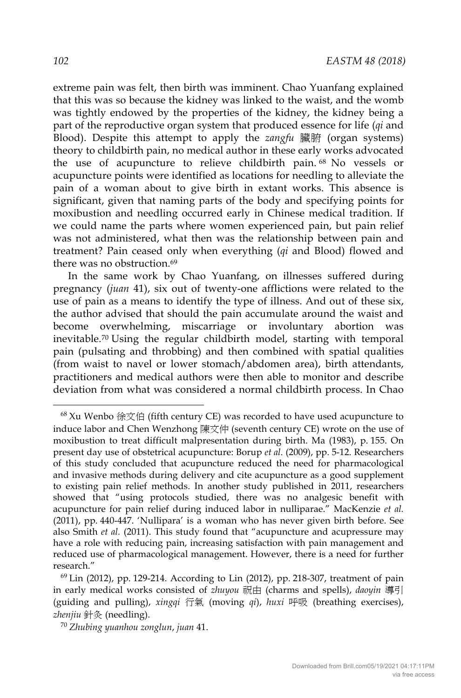extreme pain was felt, then birth was imminent. Chao Yuanfang explained that this was so because the kidney was linked to the waist, and the womb was tightly endowed by the properties of the kidney, the kidney being a part of the reproductive organ system that produced essence for life (*qi* and Blood). Despite this attempt to apply the *zangfu* 臟腑 (organ systems) theory to childbirth pain, no medical author in these early works advocated the use of acupuncture to relieve childbirth pain. <sup>68</sup> No vessels or acupuncture points were identified as locations for needling to alleviate the pain of a woman about to give birth in extant works. This absence is significant, given that naming parts of the body and specifying points for moxibustion and needling occurred early in Chinese medical tradition. If we could name the parts where women experienced pain, but pain relief was not administered, what then was the relationship between pain and treatment? Pain ceased only when everything (*qi* and Blood) flowed and there was no obstruction.<sup>69</sup>

In the same work by Chao Yuanfang, on illnesses suffered during pregnancy (*juan* 41), six out of twenty-one afflictions were related to the use of pain as a means to identify the type of illness. And out of these six, the author advised that should the pain accumulate around the waist and become overwhelming, miscarriage or involuntary abortion was inevitable.70 Using the regular childbirth model, starting with temporal pain (pulsating and throbbing) and then combined with spatial qualities (from waist to navel or lower stomach/abdomen area), birth attendants, practitioners and medical authors were then able to monitor and describe deviation from what was considered a normal childbirth process. In Chao

 $68$  Xu Wenbo 徐文伯 (fifth century CE) was recorded to have used acupuncture to induce labor and Chen Wenzhong 陳文仲 (seventh century CE) wrote on the use of moxibustion to treat difficult malpresentation during birth. Ma (1983), p. 155. On present day use of obstetrical acupuncture: Borup *et al.* (2009), pp. 5-12. Researchers of this study concluded that acupuncture reduced the need for pharmacological and invasive methods during delivery and cite acupuncture as a good supplement to existing pain relief methods. In another study published in 2011, researchers showed that "using protocols studied, there was no analgesic benefit with acupuncture for pain relief during induced labor in nulliparae." MacKenzie *et al.* (2011), pp. 440-447. 'Nullipara' is a woman who has never given birth before. See also Smith *et al.* (2011). This study found that "acupuncture and acupressure may have a role with reducing pain, increasing satisfaction with pain management and reduced use of pharmacological management. However, there is a need for further research."

 $69$  Lin (2012), pp. 129-214. According to Lin (2012), pp. 218-307, treatment of pain in early medical works consisted of *zhuyou* 祝由 (charms and spells), *daoyin* 導引 (guiding and pulling), *xingqi* 行氣 (moving *qi*), *huxi* 呼吸 (breathing exercises), *zhenjiu* 針灸 (needling).

<sup>70</sup> *Zhubing yuanhou zonglun*, *juan* 41.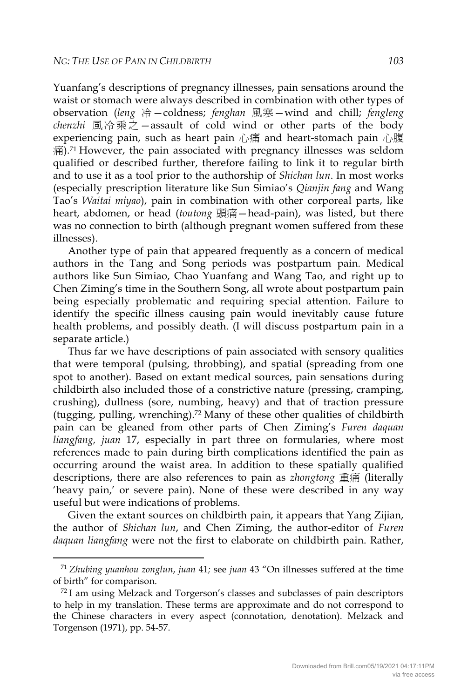Yuanfang's descriptions of pregnancy illnesses, pain sensations around the waist or stomach were always described in combination with other types of observation (*leng* 冷—coldness; *fenghan* 風寒—wind and chill; *fengleng chenzhi* 風冷乘之—assault of cold wind or other parts of the body experiencing pain, such as heart pain 心痛 and heart-stomach pain 心腹  $\ddot{a}$ ).<sup>71</sup> However, the pain associated with pregnancy illnesses was seldom qualified or described further, therefore failing to link it to regular birth and to use it as a tool prior to the authorship of *Shichan lun*. In most works (especially prescription literature like Sun Simiao's *Qianjin fang* and Wang Tao's *Waitai miyao*), pain in combination with other corporeal parts, like heart, abdomen, or head (*toutong* 頭痛—head-pain), was listed, but there was no connection to birth (although pregnant women suffered from these illnesses).

Another type of pain that appeared frequently as a concern of medical authors in the Tang and Song periods was postpartum pain. Medical authors like Sun Simiao, Chao Yuanfang and Wang Tao, and right up to Chen Ziming's time in the Southern Song, all wrote about postpartum pain being especially problematic and requiring special attention. Failure to identify the specific illness causing pain would inevitably cause future health problems, and possibly death. (I will discuss postpartum pain in a separate article.)

Thus far we have descriptions of pain associated with sensory qualities that were temporal (pulsing, throbbing), and spatial (spreading from one spot to another). Based on extant medical sources, pain sensations during childbirth also included those of a constrictive nature (pressing, cramping, crushing), dullness (sore, numbing, heavy) and that of traction pressure (tugging, pulling, wrenching).72 Many of these other qualities of childbirth pain can be gleaned from other parts of Chen Ziming's *Furen daquan liangfang, juan* 17, especially in part three on formularies, where most references made to pain during birth complications identified the pain as occurring around the waist area. In addition to these spatially qualified descriptions, there are also references to pain as *zhongtong* 重痛 (literally 'heavy pain,' or severe pain). None of these were described in any way useful but were indications of problems.

Given the extant sources on childbirth pain, it appears that Yang Zijian, the author of *Shichan lun*, and Chen Ziming, the author-editor of *Furen daquan liangfang* were not the first to elaborate on childbirth pain. Rather,

 <sup>71</sup> *Zhubing yuanhou zonglun*, *juan* <sup>41</sup>*;* see *juan* 43 "On illnesses suffered at the time

<sup>%</sup> of birth" for comparison.  $72$  I am using Melzack and Torgerson's classes and subclasses of pain descriptors to help in my translation. These terms are approximate and do not correspond to the Chinese characters in every aspect (connotation, denotation). Melzack and Torgenson (1971), pp. 54-57.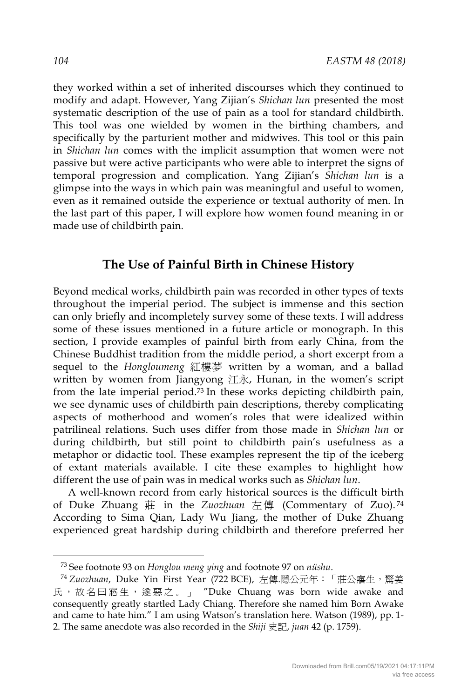they worked within a set of inherited discourses which they continued to modify and adapt. However, Yang Zijian's *Shichan lun* presented the most systematic description of the use of pain as a tool for standard childbirth. This tool was one wielded by women in the birthing chambers, and specifically by the parturient mother and midwives. This tool or this pain in *Shichan lun* comes with the implicit assumption that women were not passive but were active participants who were able to interpret the signs of temporal progression and complication. Yang Zijian's *Shichan lun* is a glimpse into the ways in which pain was meaningful and useful to women, even as it remained outside the experience or textual authority of men. In the last part of this paper, I will explore how women found meaning in or made use of childbirth pain.

#### **The Use of Painful Birth in Chinese History**

Beyond medical works, childbirth pain was recorded in other types of texts throughout the imperial period. The subject is immense and this section can only briefly and incompletely survey some of these texts. I will address some of these issues mentioned in a future article or monograph. In this section, I provide examples of painful birth from early China, from the Chinese Buddhist tradition from the middle period, a short excerpt from a sequel to the *Hongloumeng* 紅樓夢 written by a woman, and a ballad written by women from Jiangyong 江永, Hunan, in the women's script from the late imperial period.73 In these works depicting childbirth pain, we see dynamic uses of childbirth pain descriptions, thereby complicating aspects of motherhood and women's roles that were idealized within patrilineal relations. Such uses differ from those made in *Shichan lun* or during childbirth, but still point to childbirth pain's usefulness as a metaphor or didactic tool. These examples represent the tip of the iceberg of extant materials available. I cite these examples to highlight how different the use of pain was in medical works such as *Shichan lun*.

A well-known record from early historical sources is the difficult birth of Duke Zhuang 莊 in the *Zuozhuan* 左傳 (Commentary of Zuo). <sup>74</sup> According to Sima Qian, Lady Wu Jiang, the mother of Duke Zhuang experienced great hardship during childbirth and therefore preferred her

<sup>73</sup> See footnote 93 on *Honglou meng ying* and footnote 97 on *nüshu*. 74 *Zuozhuan*, Duke Yin First Year (722 BCE), 左傳.隱公元年:「莊公寤生,驚姜 氏, 故名曰寤生, 遂惡之。」 "Duke Chuang was born wide awake and consequently greatly startled Lady Chiang. Therefore she named him Born Awake and came to hate him." I am using Watson's translation here. Watson (1989), pp. 1- 2. The same anecdote was also recorded in the *Shiji* 史記, *juan* 42 (p. 1759).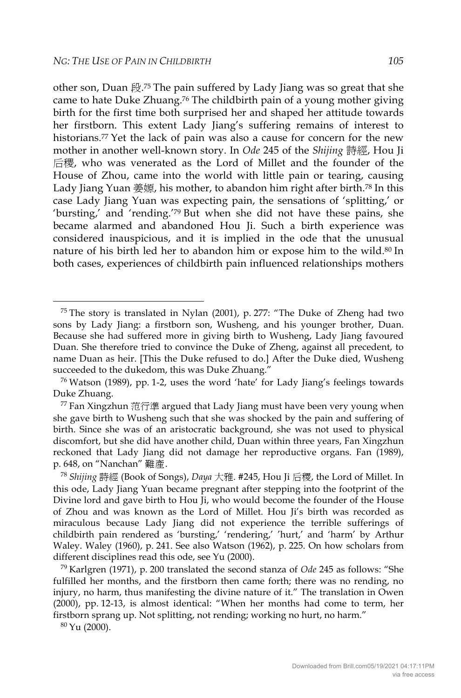other son, Duan 段.75 The pain suffered by Lady Jiang was so great that she came to hate Duke Zhuang.76 The childbirth pain of a young mother giving birth for the first time both surprised her and shaped her attitude towards her firstborn. This extent Lady Jiang's suffering remains of interest to historians.77 Yet the lack of pain was also a cause for concern for the new mother in another well-known story. In *Ode* 245 of the *Shijing* 詩經, Hou Ji 后稷, who was venerated as the Lord of Millet and the founder of the House of Zhou, came into the world with little pain or tearing, causing Lady Jiang Yuan  $\frac{2}{3}$  kg, his mother, to abandon him right after birth.<sup>78</sup> In this case Lady Jiang Yuan was expecting pain, the sensations of 'splitting,' or 'bursting,' and 'rending.'79 But when she did not have these pains, she became alarmed and abandoned Hou Ji. Such a birth experience was considered inauspicious, and it is implied in the ode that the unusual nature of his birth led her to abandon him or expose him to the wild.80 In both cases, experiences of childbirth pain influenced relationships mothers

<sup>80</sup> Yu (2000).

 <sup>75</sup> The story is translated in Nylan (2001), p. 277: "The Duke of Zheng had two sons by Lady Jiang: a firstborn son, Wusheng, and his younger brother, Duan. Because she had suffered more in giving birth to Wusheng, Lady Jiang favoured Duan. She therefore tried to convince the Duke of Zheng, against all precedent, to name Duan as heir. [This the Duke refused to do.] After the Duke died, Wusheng succeeded to the dukedom, this was Duke Zhuang."

<sup>76</sup> Watson (1989), pp. 1-2, uses the word 'hate' for Lady Jiang's feelings towards Duke Zhuang.

 $77$  Fan Xingzhun 范行準 argued that Lady Jiang must have been very young when she gave birth to Wusheng such that she was shocked by the pain and suffering of birth. Since she was of an aristocratic background, she was not used to physical discomfort, but she did have another child, Duan within three years, Fan Xingzhun reckoned that Lady Jiang did not damage her reproductive organs. Fan (1989), p. 648, on "Nanchan" 難產.

<sup>78</sup> *Shijing* 詩經 (Book of Songs), *Daya* 大雅. #245, Hou Ji 后稷, the Lord of Millet. In this ode, Lady Jiang Yuan became pregnant after stepping into the footprint of the Divine lord and gave birth to Hou Ji, who would become the founder of the House of Zhou and was known as the Lord of Millet. Hou Ji's birth was recorded as miraculous because Lady Jiang did not experience the terrible sufferings of childbirth pain rendered as 'bursting,' 'rendering,' 'hurt,' and 'harm' by Arthur Waley. Waley (1960), p. 241. See also Watson (1962), p. 225. On how scholars from different disciplines read this ode, see Yu (2000).

<sup>79</sup> Karlgren (1971), p. 200 translated the second stanza of *Ode* 245 as follows: "She fulfilled her months, and the firstborn then came forth; there was no rending, no injury, no harm, thus manifesting the divine nature of it." The translation in Owen (2000), pp. 12-13, is almost identical: "When her months had come to term, her firstborn sprang up. Not splitting, not rending; working no hurt, no harm."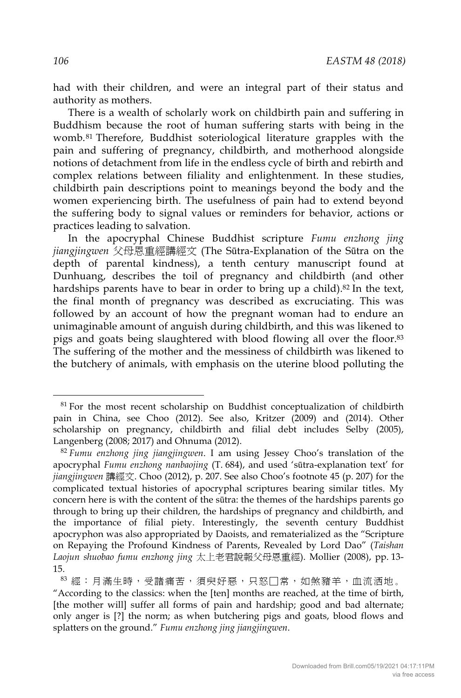had with their children, and were an integral part of their status and authority as mothers.

There is a wealth of scholarly work on childbirth pain and suffering in Buddhism because the root of human suffering starts with being in the womb.81 Therefore, Buddhist soteriological literature grapples with the pain and suffering of pregnancy, childbirth, and motherhood alongside notions of detachment from life in the endless cycle of birth and rebirth and complex relations between filiality and enlightenment. In these studies, childbirth pain descriptions point to meanings beyond the body and the women experiencing birth. The usefulness of pain had to extend beyond the suffering body to signal values or reminders for behavior, actions or practices leading to salvation.

In the apocryphal Chinese Buddhist scripture *Fumu enzhong jing jiangjingwen* 父母恩重經講經文 (The Sūtra-Explanation of the Sūtra on the depth of parental kindness), a tenth century manuscript found at Dunhuang, describes the toil of pregnancy and childbirth (and other hardships parents have to bear in order to bring up a child).<sup>82</sup> In the text, the final month of pregnancy was described as excruciating. This was followed by an account of how the pregnant woman had to endure an unimaginable amount of anguish during childbirth, and this was likened to pigs and goats being slaughtered with blood flowing all over the floor.83 The suffering of the mother and the messiness of childbirth was likened to the butchery of animals, with emphasis on the uterine blood polluting the

<sup>&</sup>lt;sup>81</sup> For the most recent scholarship on Buddhist conceptualization of childbirth pain in China, see Choo (2012). See also, Kritzer (2009) and (2014). Other scholarship on pregnancy, childbirth and filial debt includes Selby (2005), Langenberg (2008; 2017) and Ohnuma (2012).

<sup>82</sup> *Fumu enzhong jing jiangjingwen*. I am using Jessey Choo's translation of the apocryphal *Fumu enzhong nanbaojing* (T. 684), and used 'sūtra-explanation text' for *jiangjingwen* 講經文. Choo (2012), p. 207. See also Choo's footnote 45 (p. 207) for the complicated textual histories of apocryphal scriptures bearing similar titles. My concern here is with the content of the sūtra: the themes of the hardships parents go through to bring up their children, the hardships of pregnancy and childbirth, and the importance of filial piety. Interestingly, the seventh century Buddhist apocryphon was also appropriated by Daoists, and rematerialized as the "Scripture on Repaying the Profound Kindness of Parents, Revealed by Lord Dao" (*Taishan Laojun shuobao fumu enzhong jing* 太上老君說報父母恩重經). Mollier (2008), pp. 13- 15.

<sup>83</sup> 經:月滿生時,受諸痛苦,須臾好惡,只怒□常,如煞豬羊,血流洒地。 "According to the classics: when the [ten] months are reached, at the time of birth, [the mother will] suffer all forms of pain and hardship; good and bad alternate; only anger is [?] the norm; as when butchering pigs and goats, blood flows and splatters on the ground." *Fumu enzhong jing jiangjingwen*.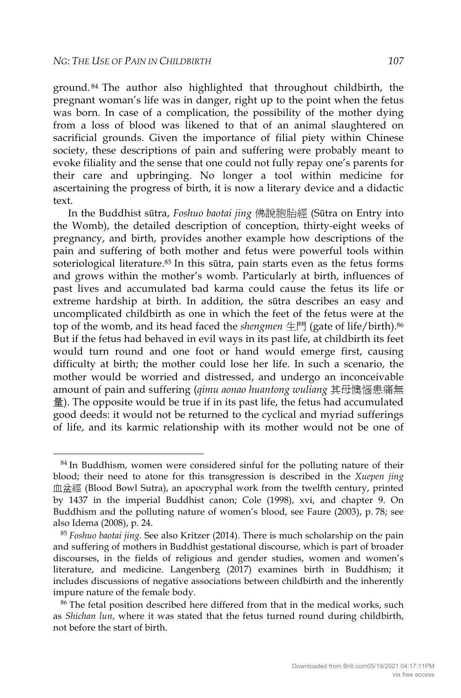ground. <sup>84</sup> The author also highlighted that throughout childbirth, the pregnant woman's life was in danger, right up to the point when the fetus was born. In case of a complication, the possibility of the mother dying from a loss of blood was likened to that of an animal slaughtered on sacrificial grounds. Given the importance of filial piety within Chinese society, these descriptions of pain and suffering were probably meant to evoke filiality and the sense that one could not fully repay one's parents for their care and upbringing. No longer a tool within medicine for ascertaining the progress of birth, it is now a literary device and a didactic text.

In the Buddhist sūtra, *Foshuo baotai jing* 佛說胞胎經 (Sūtra on Entry into the Womb), the detailed description of conception, thirty-eight weeks of pregnancy, and birth, provides another example how descriptions of the pain and suffering of both mother and fetus were powerful tools within soteriological literature.<sup>85</sup> In this sūtra, pain starts even as the fetus forms and grows within the mother's womb. Particularly at birth, influences of past lives and accumulated bad karma could cause the fetus its life or extreme hardship at birth. In addition, the sūtra describes an easy and uncomplicated childbirth as one in which the feet of the fetus were at the top of the womb, and its head faced the *shengmen* 生門 (gate of life/birth).<sup>86</sup> But if the fetus had behaved in evil ways in its past life, at childbirth its feet would turn round and one foot or hand would emerge first, causing difficulty at birth; the mother could lose her life. In such a scenario, the mother would be worried and distressed, and undergo an inconceivable amount of pain and suffering (*qimu aonao huantong wuliang* 其母懊惱患痛無 量). The opposite would be true if in its past life, the fetus had accumulated good deeds: it would not be returned to the cyclical and myriad sufferings of life, and its karmic relationship with its mother would not be one of

<sup>&</sup>lt;sup>84</sup> In Buddhism, women were considered sinful for the polluting nature of their blood; their need to atone for this transgression is described in the *Xuepen jing* 血盆經 (Blood Bowl Sutra), an apocryphal work from the twelfth century, printed by 1437 in the imperial Buddhist canon; Cole (1998), xvi, and chapter 9. On Buddhism and the polluting nature of women's blood, see Faure (2003), p. 78; see also Idema (2008), p. 24.

<sup>85</sup> *Foshuo baotai jing*. See also Kritzer (2014). There is much scholarship on the pain and suffering of mothers in Buddhist gestational discourse, which is part of broader discourses, in the fields of religious and gender studies, women and women's literature, and medicine. Langenberg (2017) examines birth in Buddhism; it includes discussions of negative associations between childbirth and the inherently impure nature of the female body.

<sup>86</sup> The fetal position described here differed from that in the medical works, such as *Shichan lun*, where it was stated that the fetus turned round during childbirth, not before the start of birth.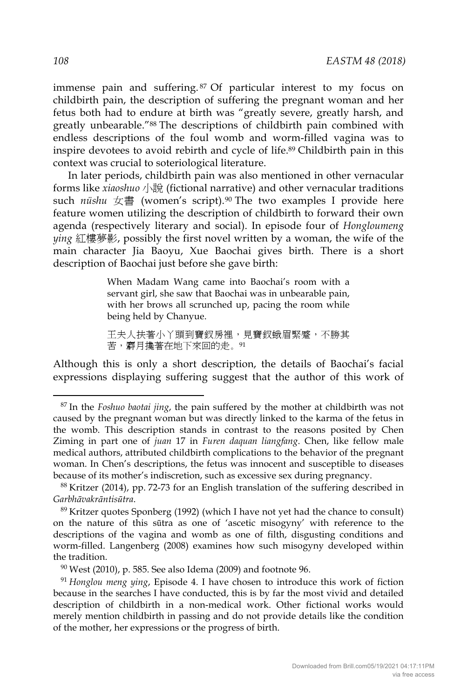immense pain and suffering. <sup>87</sup> Of particular interest to my focus on childbirth pain, the description of suffering the pregnant woman and her fetus both had to endure at birth was "greatly severe, greatly harsh, and greatly unbearable."88 The descriptions of childbirth pain combined with endless descriptions of the foul womb and worm-filled vagina was to inspire devotees to avoid rebirth and cycle of life.89 Childbirth pain in this context was crucial to soteriological literature.

In later periods, childbirth pain was also mentioned in other vernacular forms like *xiaoshuo* 小說 (fictional narrative) and other vernacular traditions such *nüshu* 女書 (women's script).90 The two examples I provide here feature women utilizing the description of childbirth to forward their own agenda (respectively literary and social). In episode four of *Hongloumeng ying* 紅樓夢影, possibly the first novel written by a woman, the wife of the main character Jia Baoyu, Xue Baochai gives birth. There is a short description of Baochai just before she gave birth:

> When Madam Wang came into Baochai's room with a servant girl, she saw that Baochai was in unbearable pain, with her brows all scrunched up, pacing the room while being held by Chanyue.

> 王夫人扶著小丫頭到寶釵房裡,見寶釵蛾眉緊蹙,不勝其 苦,麝月攙著在地下來回的走。91

Although this is only a short description, the details of Baochai's facial expressions displaying suffering suggest that the author of this work of

 <sup>87</sup> In the *Foshuo baotai jing*, the pain suffered by the mother at childbirth was not caused by the pregnant woman but was directly linked to the karma of the fetus in the womb. This description stands in contrast to the reasons posited by Chen Ziming in part one of *juan* 17 in *Furen daquan liangfang*. Chen, like fellow male medical authors, attributed childbirth complications to the behavior of the pregnant woman. In Chen's descriptions, the fetus was innocent and susceptible to diseases because of its mother's indiscretion, such as excessive sex during pregnancy.

<sup>88</sup> Kritzer (2014), pp. 72-73 for an English translation of the suffering described in *Garbhāvakrāntisūtra*.

<sup>89</sup> Kritzer quotes Sponberg (1992) (which I have not yet had the chance to consult) on the nature of this sūtra as one of 'ascetic misogyny' with reference to the descriptions of the vagina and womb as one of filth, disgusting conditions and worm-filled. Langenberg (2008) examines how such misogyny developed within the tradition.

 $90$  West (2010), p. 585. See also Idema (2009) and footnote 96.

<sup>91</sup> *Honglou meng ying*, Episode 4. I have chosen to introduce this work of fiction because in the searches I have conducted, this is by far the most vivid and detailed description of childbirth in a non-medical work. Other fictional works would merely mention childbirth in passing and do not provide details like the condition of the mother, her expressions or the progress of birth.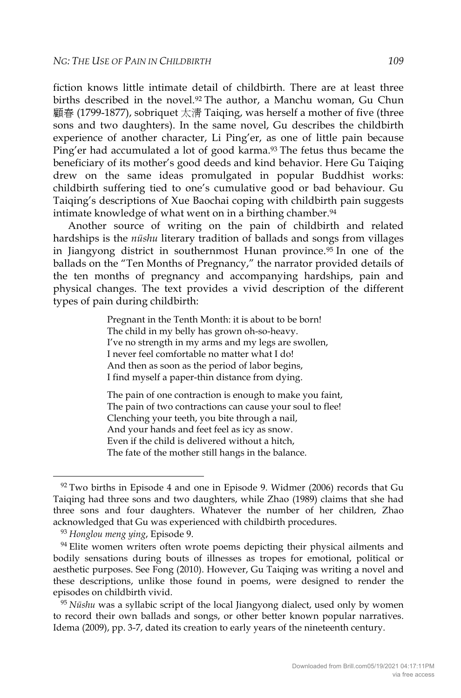fiction knows little intimate detail of childbirth. There are at least three births described in the novel.92 The author, a Manchu woman, Gu Chun 顧春 (1799-1877), sobriquet 太清 Taiqing, was herself a mother of five (three sons and two daughters). In the same novel, Gu describes the childbirth experience of another character, Li Ping'er, as one of little pain because Ping'er had accumulated a lot of good karma.<sup>93</sup> The fetus thus became the beneficiary of its mother's good deeds and kind behavior. Here Gu Taiqing drew on the same ideas promulgated in popular Buddhist works: childbirth suffering tied to one's cumulative good or bad behaviour. Gu Taiqing's descriptions of Xue Baochai coping with childbirth pain suggests intimate knowledge of what went on in a birthing chamber.<sup>94</sup>

Another source of writing on the pain of childbirth and related hardships is the *nüshu* literary tradition of ballads and songs from villages in Jiangyong district in southernmost Hunan province.<sup>95</sup> In one of the ballads on the "Ten Months of Pregnancy," the narrator provided details of the ten months of pregnancy and accompanying hardships, pain and physical changes. The text provides a vivid description of the different types of pain during childbirth:

> Pregnant in the Tenth Month: it is about to be born! The child in my belly has grown oh-so-heavy. I've no strength in my arms and my legs are swollen, I never feel comfortable no matter what I do! And then as soon as the period of labor begins, I find myself a paper-thin distance from dying.

The pain of one contraction is enough to make you faint, The pain of two contractions can cause your soul to flee! Clenching your teeth, you bite through a nail, And your hands and feet feel as icy as snow. Even if the child is delivered without a hitch, The fate of the mother still hangs in the balance.

 $92$  Two births in Episode 4 and one in Episode 9. Widmer (2006) records that Gu Taiqing had three sons and two daughters, while Zhao (1989) claims that she had three sons and four daughters. Whatever the number of her children, Zhao acknowledged that Gu was experienced with childbirth procedures.

<sup>93</sup> *Honglou meng ying*, Episode 9.

<sup>&</sup>lt;sup>94</sup> Elite women writers often wrote poems depicting their physical ailments and bodily sensations during bouts of illnesses as tropes for emotional, political or aesthetic purposes. See Fong (2010). However, Gu Taiqing was writing a novel and these descriptions, unlike those found in poems, were designed to render the episodes on childbirth vivid.

<sup>95</sup> *Nüshu* was a syllabic script of the local Jiangyong dialect, used only by women to record their own ballads and songs, or other better known popular narratives. Idema (2009), pp. 3-7, dated its creation to early years of the nineteenth century.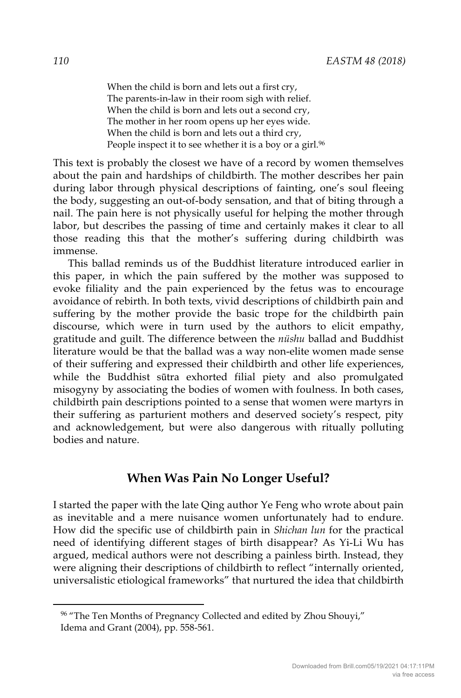When the child is born and lets out a first cry, The parents-in-law in their room sigh with relief. When the child is born and lets out a second cry, The mother in her room opens up her eyes wide. When the child is born and lets out a third cry, People inspect it to see whether it is a boy or a girl.<sup>96</sup>

This text is probably the closest we have of a record by women themselves about the pain and hardships of childbirth. The mother describes her pain during labor through physical descriptions of fainting, one's soul fleeing the body, suggesting an out-of-body sensation, and that of biting through a nail. The pain here is not physically useful for helping the mother through labor, but describes the passing of time and certainly makes it clear to all those reading this that the mother's suffering during childbirth was immense.

This ballad reminds us of the Buddhist literature introduced earlier in this paper, in which the pain suffered by the mother was supposed to evoke filiality and the pain experienced by the fetus was to encourage avoidance of rebirth. In both texts, vivid descriptions of childbirth pain and suffering by the mother provide the basic trope for the childbirth pain discourse, which were in turn used by the authors to elicit empathy, gratitude and guilt. The difference between the *nüshu* ballad and Buddhist literature would be that the ballad was a way non-elite women made sense of their suffering and expressed their childbirth and other life experiences, while the Buddhist sūtra exhorted filial piety and also promulgated misogyny by associating the bodies of women with foulness. In both cases, childbirth pain descriptions pointed to a sense that women were martyrs in their suffering as parturient mothers and deserved society's respect, pity and acknowledgement, but were also dangerous with ritually polluting bodies and nature.

#### **When Was Pain No Longer Useful?**

I started the paper with the late Qing author Ye Feng who wrote about pain as inevitable and a mere nuisance women unfortunately had to endure. How did the specific use of childbirth pain in *Shichan lun* for the practical need of identifying different stages of birth disappear? As Yi-Li Wu has argued, medical authors were not describing a painless birth. Instead, they were aligning their descriptions of childbirth to reflect "internally oriented, universalistic etiological frameworks" that nurtured the idea that childbirth

<sup>&</sup>lt;sup>96</sup> "The Ten Months of Pregnancy Collected and edited by Zhou Shouyi," Idema and Grant (2004), pp. 558-561.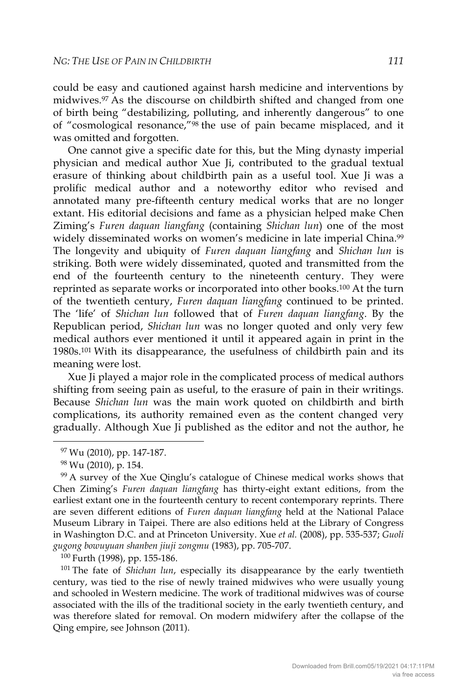could be easy and cautioned against harsh medicine and interventions by midwives.97 As the discourse on childbirth shifted and changed from one of birth being "destabilizing, polluting, and inherently dangerous" to one of "cosmological resonance,"98 the use of pain became misplaced, and it was omitted and forgotten.

One cannot give a specific date for this, but the Ming dynasty imperial physician and medical author Xue Ji, contributed to the gradual textual erasure of thinking about childbirth pain as a useful tool. Xue Ji was a prolific medical author and a noteworthy editor who revised and annotated many pre-fifteenth century medical works that are no longer extant. His editorial decisions and fame as a physician helped make Chen Ziming's *Furen daquan liangfang* (containing *Shichan lun*) one of the most widely disseminated works on women's medicine in late imperial China.<sup>99</sup> The longevity and ubiquity of *Furen daquan liangfang* and *Shichan lun* is striking. Both were widely disseminated, quoted and transmitted from the end of the fourteenth century to the nineteenth century. They were reprinted as separate works or incorporated into other books.100 At the turn of the twentieth century, *Furen daquan liangfang* continued to be printed. The 'life' of *Shichan lun* followed that of *Furen daquan liangfang*. By the Republican period, *Shichan lun* was no longer quoted and only very few medical authors ever mentioned it until it appeared again in print in the 1980s.101 With its disappearance, the usefulness of childbirth pain and its meaning were lost.

Xue Ji played a major role in the complicated process of medical authors shifting from seeing pain as useful, to the erasure of pain in their writings. Because *Shichan lun* was the main work quoted on childbirth and birth complications, its authority remained even as the content changed very gradually. Although Xue Ji published as the editor and not the author, he

<sup>100</sup> Furth (1998), pp. 155-186.<br><sup>101</sup> The fate of *Shichan lun*, especially its disappearance by the early twentieth century, was tied to the rise of newly trained midwives who were usually young and schooled in Western medicine. The work of traditional midwives was of course associated with the ills of the traditional society in the early twentieth century, and was therefore slated for removal. On modern midwifery after the collapse of the Qing empire, see Johnson (2011).

<sup>&</sup>lt;sup>97</sup> Wu (2010), pp. 147-187.<br><sup>98</sup> Wu (2010), p. 154.<br><sup>99</sup> A survey of the Xue Qinglu's catalogue of Chinese medical works shows that Chen Ziming's *Furen daquan liangfang* has thirty-eight extant editions, from the earliest extant one in the fourteenth century to recent contemporary reprints. There are seven different editions of *Furen daquan liangfang* held at the National Palace Museum Library in Taipei. There are also editions held at the Library of Congress in Washington D.C. and at Princeton University. Xue *et al.* (2008), pp. 535-537; *Guoli gugong bowuyuan shanben jiuji zongmu* (1983), pp. 705-707.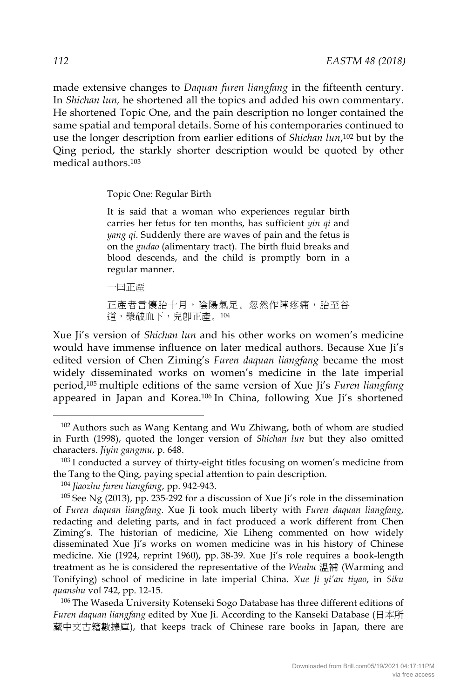made extensive changes to *Daquan furen liangfang* in the fifteenth century. In *Shichan lun,* he shortened all the topics and added his own commentary. He shortened Topic One, and the pain description no longer contained the same spatial and temporal details. Some of his contemporaries continued to use the longer description from earlier editions of *Shichan lun*,102 but by the Qing period, the starkly shorter description would be quoted by other medical authors.<sup>103</sup>

Topic One: Regular Birth

It is said that a woman who experiences regular birth carries her fetus for ten months, has sufficient *yin qi* and *yang qi*. Suddenly there are waves of pain and the fetus is on the *gudao* (alimentary tract). The birth fluid breaks and blood descends, and the child is promptly born in a regular manner.

一曰正產

正產者言懷胎十月,陰陽氣足。忽然作陣疼痛,胎至谷 道,漿破血下,兒卽正產。104

Xue Ji's version of *Shichan lun* and his other works on women's medicine would have immense influence on later medical authors. Because Xue Ji's edited version of Chen Ziming's *Furen daquan liangfang* became the most widely disseminated works on women's medicine in the late imperial period,105 multiple editions of the same version of Xue Ji's *Furen liangfang* appeared in Japan and Korea.106 In China, following Xue Ji's shortened

*Furen daquan liangfang* edited by Xue Ji. According to the Kanseki Database (日本所 藏中文古籍數據庫), that keeps track of Chinese rare books in Japan, there are

<sup>&</sup>lt;sup>102</sup> Authors such as Wang Kentang and Wu Zhiwang, both of whom are studied in Furth (1998), quoted the longer version of *Shichan lun* but they also omitted characters. *Jiyin gangmu*, p. 648.

<sup>&</sup>lt;sup>103</sup> I conducted a survey of thirty-eight titles focusing on women's medicine from the Tang to the Qing, paying special attention to pain description.

<sup>104</sup> *Jiaozhu furen liangfang*, pp. 942-943.

<sup>105</sup> See Ng (2013), pp. 235-292 for a discussion of Xue Ji's role in the dissemination of *Furen daquan liangfang*. Xue Ji took much liberty with *Furen daquan liangfang*, redacting and deleting parts, and in fact produced a work different from Chen Ziming's. The historian of medicine, Xie Liheng commented on how widely disseminated Xue Ji's works on women medicine was in his history of Chinese medicine. Xie (1924, reprint 1960), pp. 38-39. Xue Ji's role requires a book-length treatment as he is considered the representative of the *Wenbu* 溫補 (Warming and Tonifying) school of medicine in late imperial China. *Xue Ji yi'an tiyao*, in *Siku quanshu* vol 742, pp. 12-15.<br><sup>106</sup> The Waseda University Kotenseki Sogo Database has three different editions of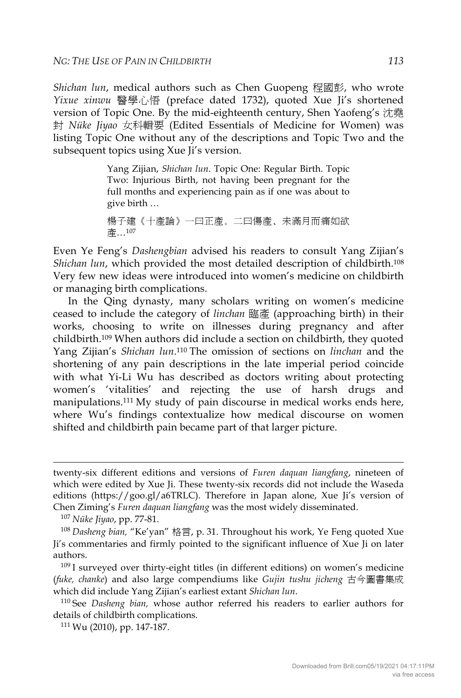*Shichan lun*, medical authors such as Chen Guopeng 程國彭, who wrote *Yixue xinwu* 醫學心悟 (preface dated 1732), quoted Xue Ji's shortened version of Topic One. By the mid-eighteenth century, Shen Yaofeng's 沈堯 封 *Nüke Jiyao* 女科輯要 (Edited Essentials of Medicine for Women) was listing Topic One without any of the descriptions and Topic Two and the subsequent topics using Xue Ii's version.

> Yang Zijian, *Shichan lun*. Topic One: Regular Birth. Topic Two: Injurious Birth, not having been pregnant for the full months and experiencing pain as if one was about to give birth …

Even Ye Feng's *Dashengbian* advised his readers to consult Yang Zijian's *Shichan lun*, which provided the most detailed description of childbirth.108 Very few new ideas were introduced into women's medicine on childbirth or managing birth complications.

In the Qing dynasty, many scholars writing on women's medicine ceased to include the category of *linchan* 臨產 (approaching birth) in their works, choosing to write on illnesses during pregnancy and after childbirth.109 When authors did include a section on childbirth, they quoted Yang Zijian's *Shichan lun*.110 The omission of sections on *linchan* and the shortening of any pain descriptions in the late imperial period coincide with what Yi-Li Wu has described as doctors writing about protecting women's 'vitalities' and rejecting the use of harsh drugs and manipulations.111 My study of pain discourse in medical works ends here, where Wu's findings contextualize how medical discourse on women shifted and childbirth pain became part of that larger picture.

-

<sup>109</sup> I surveyed over thirty-eight titles (in different editions) on women's medicine (*fuke, chanke*) and also large compendiums like *Gujin tushu jicheng* 古今圖書集成 which did include Yang Zijian's earliest extant *Shichan lun*.<br><sup>110</sup> See *Dasheng bian,* whose author referred his readers to earlier authors for

details of childbirth complications.

 $111$  Wu (2010), pp. 147-187.

楊子建《十產論》一曰正產。二曰傷產、未滿月而痛如欲 產…107

twenty-six different editions and versions of *Furen daquan liangfang*, nineteen of which were edited by Xue Ji. These twenty-six records did not include the Waseda editions (https://goo.gl/a6TRLC). Therefore in Japan alone, Xue Ji's version of Chen Ziming's *Furen daquan liangfang* was the most widely disseminated.

<sup>&</sup>lt;sup>107</sup> Nüke Jiyao, pp. 77-81.<br><sup>108</sup> Dasheng bian, "Ke'yan" 格言, p. 31. Throughout his work, Ye Feng quoted Xue Ji's commentaries and firmly pointed to the significant influence of Xue Ji on later authors.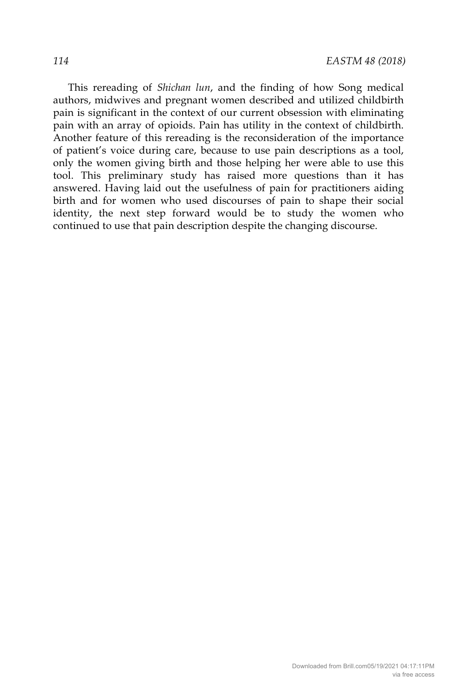This rereading of *Shichan lun*, and the finding of how Song medical authors, midwives and pregnant women described and utilized childbirth pain is significant in the context of our current obsession with eliminating pain with an array of opioids. Pain has utility in the context of childbirth. Another feature of this rereading is the reconsideration of the importance of patient's voice during care, because to use pain descriptions as a tool, only the women giving birth and those helping her were able to use this tool. This preliminary study has raised more questions than it has answered. Having laid out the usefulness of pain for practitioners aiding birth and for women who used discourses of pain to shape their social identity, the next step forward would be to study the women who continued to use that pain description despite the changing discourse.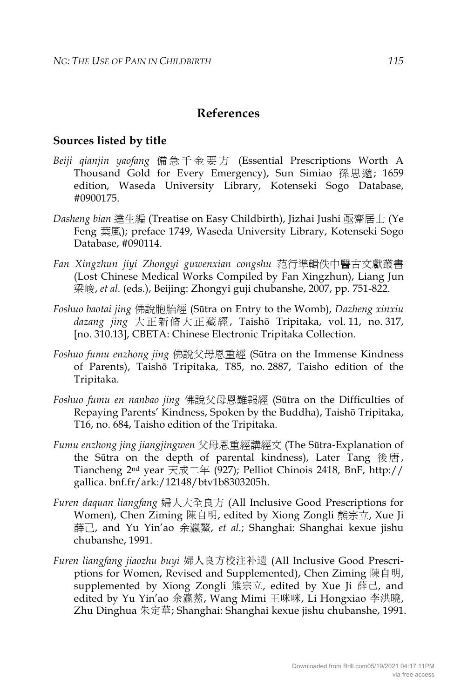### **References**

#### **Sources listed by title**

- *Beiji qianjin yaofang* 備急千金要方 (Essential Prescriptions Worth A Thousand Gold for Every Emergency), Sun Simiao 孫思邈; 1659 edition, Waseda University Library, Kotenseki Sogo Database, #0900175.
- *Dasheng bian* 達生編 (Treatise on Easy Childbirth), Jizhai Jushi 亟齋居士 (Ye Feng 葉風); preface 1749, Waseda University Library, Kotenseki Sogo Database, #090114.
- *Fan Xingzhun jiyi Zhongyi guwenxian congshu* 范行準輯佚中醫古文獻叢書 (Lost Chinese Medical Works Compiled by Fan Xingzhun), Liang Jun 梁峻, *et al.* (eds.), Beijing: Zhongyi guji chubanshe, 2007, pp. 751-822.
- *Foshuo baotai jing* 佛說胞胎經 (Sūtra on Entry to the Womb), *Dazheng xinxiu dazang jing* 大正新脩大正藏經, Taishō Tripitaka, vol. 11, no. 317, [no. 310.13], CBETA: Chinese Electronic Tripitaka Collection.
- *Foshuo fumu enzhong jing* 佛說父母恩重經 (Sūtra on the Immense Kindness of Parents), Taishō Tripitaka, T85, no. 2887, Taisho edition of the Tripitaka.
- *Foshuo fumu en nanbao jing* 佛說父母恩難報經 (Sūtra on the Difficulties of Repaying Parents' Kindness, Spoken by the Buddha), Taishō Tripitaka, T16, no. 684, Taisho edition of the Tripitaka.
- *Fumu enzhong jing jiangjingwen* 父母恩重經講經文 (The Sūtra-Explanation of the Sūtra on the depth of parental kindness), Later Tang 後唐, Tiancheng 2nd year 天成二年 (927); Pelliot Chinois 2418, BnF, http:// gallica. bnf.fr/ark:/12148/btv1b8303205h.
- *Furen daquan liangfang* 婦人大全良方 (All Inclusive Good Prescriptions for Women), Chen Ziming 陳自明, edited by Xiong Zongli 熊宗立, Xue Ji 薛己, and Yu Yin'ao 余瀛鰲, *et al.*; Shanghai: Shanghai kexue jishu chubanshe, 1991.
- *Furen liangfang jiaozhu buyi* 婦人良方校注补遗 (All Inclusive Good Prescriptions for Women, Revised and Supplemented), Chen Ziming 陳自明, supplemented by Xiong Zongli 熊宗立, edited by Xue Ji 薛己, and edited by Yu Yin'ao 余瀛鰲, Wang Mimi 王咪咪, Li Hongxiao 李洪曉, Zhu Dinghua 朱定華; Shanghai: Shanghai kexue jishu chubanshe, 1991.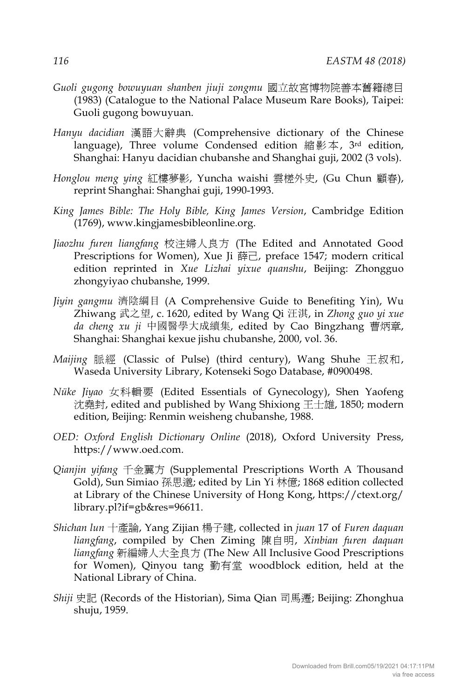- *Guoli gugong bowuyuan shanben jiuji zongmu* 國立故宮博物院善本舊籍總目 (1983) (Catalogue to the National Palace Museum Rare Books), Taipei: Guoli gugong bowuyuan.
- *Hanyu dacidian* 漢語大辭典 (Comprehensive dictionary of the Chinese language), Three volume Condensed edition 縮影本, 3rd edition, Shanghai: Hanyu dacidian chubanshe and Shanghai guji, 2002 (3 vols).
- *Honglou meng ying* 紅樓夢影, Yuncha waishi 雲槎外史, (Gu Chun 顧春), reprint Shanghai: Shanghai guji, 1990-1993.
- *King James Bible: The Holy Bible, King James Version*, Cambridge Edition (1769), www.kingjamesbibleonline.org.
- *Jiaozhu furen liangfang* 校注婦人良方 (The Edited and Annotated Good Prescriptions for Women), Xue Ji 薛己, preface 1547; modern critical edition reprinted in *Xue Lizhai yixue quanshu*, Beijing: Zhongguo zhongyiyao chubanshe, 1999.
- *Jiyin gangmu* 濟陰綱目 (A Comprehensive Guide to Benefiting Yin), Wu Zhiwang 武之望, c. 1620, edited by Wang Qi 汪淇, in *Zhong guo yi xue da cheng xu ji* 中國醫學大成續集, edited by Cao Bingzhang 曹炳章, Shanghai: Shanghai kexue jishu chubanshe, 2000, vol. 36.
- *Maijing* 脈經 (Classic of Pulse) (third century), Wang Shuhe 王叔和, Waseda University Library, Kotenseki Sogo Database, #0900498.
- *Nüke Jiyao* 女科輯要 (Edited Essentials of Gynecology), Shen Yaofeng 沈堯封, edited and published by Wang Shixiong 王士雄, 1850; modern edition, Beijing: Renmin weisheng chubanshe, 1988.
- *OED: Oxford English Dictionary Online* (2018), Oxford University Press, https://www.oed.com.
- *Qianjin yifang* 千金翼方 (Supplemental Prescriptions Worth A Thousand Gold), Sun Simiao 孫思邈; edited by Lin Yi 林億; 1868 edition collected at Library of the Chinese University of Hong Kong, https://ctext.org/ library.pl?if=gb&res=96611.
- *Shichan lun* 十產論, Yang Zijian 楊子建, collected in *juan* 17 of *Furen daquan liangfang*, compiled by Chen Ziming 陳自明, *Xinbian furen daquan liangfang* 新編婦人大全良方 (The New All Inclusive Good Prescriptions for Women), Qinyou tang 勤有堂 woodblock edition, held at the National Library of China.
- *Shiji* 史記 (Records of the Historian), Sima Qian 司馬遷; Beijing: Zhonghua shuju, 1959.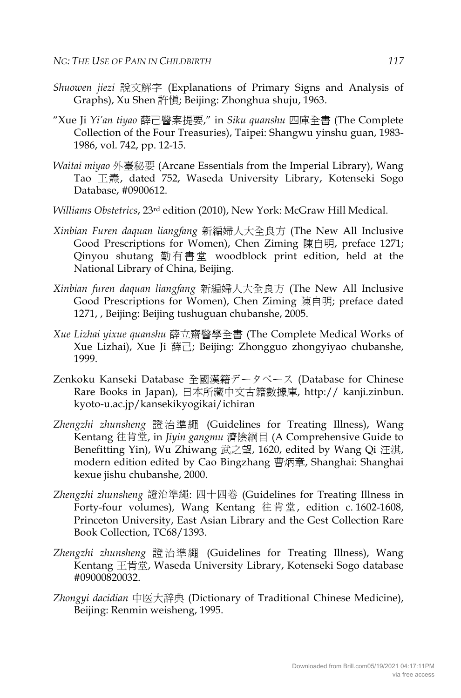- *Shuowen jiezi* 說文解字 (Explanations of Primary Signs and Analysis of Graphs), Xu Shen 許愼; Beijing: Zhonghua shuju, 1963.
- "Xue Ji *Yi'an tiyao* 薛己醫案提要," in *Siku quanshu* 四庫全書 (The Complete Collection of the Four Treasuries), Taipei: Shangwu yinshu guan, 1983- 1986, vol. 742, pp. 12-15.
- *Waitai miyao* 外臺秘要 (Arcane Essentials from the Imperial Library), Wang Tao 王燾, dated 752, Waseda University Library, Kotenseki Sogo Database, #0900612.
- *Williams Obstetrics*, 23rd edition (2010), New York: McGraw Hill Medical.
- *Xinbian Furen daquan liangfang* 新編婦人大全良方 (The New All Inclusive Good Prescriptions for Women), Chen Ziming 陳自明, preface 1271; Qinyou shutang 勤有書堂 woodblock print edition, held at the National Library of China, Beijing.
- *Xinbian furen daquan liangfang* 新編婦人大全良方 (The New All Inclusive Good Prescriptions for Women), Chen Ziming 陳自明; preface dated 1271, , Beijing: Beijing tushuguan chubanshe, 2005.
- *Xue Lizhai yixue quanshu* 薛立齋醫學全書 (The Complete Medical Works of Xue Lizhai), Xue Ji 薛己; Beijing: Zhongguo zhongyiyao chubanshe, 1999.
- Zenkoku Kanseki Database 全國漢籍データベース (Database for Chinese Rare Books in Japan), 日本所藏中文古籍數據庫, http:// kanji.zinbun. kyoto-u.ac.jp/kansekikyogikai/ichiran
- *Zhengzhi zhunsheng* 證治準繩 (Guidelines for Treating Illness), Wang Kentang 往肯堂, in *Jiyin gangmu* 濟陰綱目 (A Comprehensive Guide to Benefitting Yin), Wu Zhiwang 武之望, 1620, edited by Wang Qi 汪淇, modern edition edited by Cao Bingzhang 曹炳章, Shanghai: Shanghai kexue jishu chubanshe, 2000.
- *Zhengzhi zhunsheng* 證治準繩: 四十四卷 (Guidelines for Treating Illness in Forty-four volumes), Wang Kentang 往肯堂, edition c. 1602-1608, Princeton University, East Asian Library and the Gest Collection Rare Book Collection, TC68/1393.
- *Zhengzhi zhunsheng* 證治準繩 (Guidelines for Treating Illness), Wang Kentang 王肯堂, Waseda University Library, Kotenseki Sogo database #09000820032.
- *Zhongyi dacidian* 中医大辞典 (Dictionary of Traditional Chinese Medicine), Beijing: Renmin weisheng, 1995.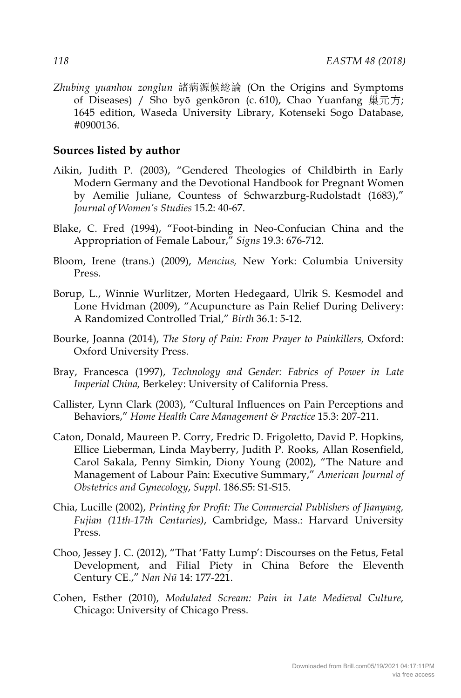*Zhubing yuanhou zonglun* 諸病源候総論 (On the Origins and Symptoms of Diseases) / Sho byō genkōron (c. 610), Chao Yuanfang 巢元方; 1645 edition, Waseda University Library, Kotenseki Sogo Database, #0900136.

#### **Sources listed by author**

- Aikin, Judith P. (2003), "Gendered Theologies of Childbirth in Early Modern Germany and the Devotional Handbook for Pregnant Women by Aemilie Juliane, Countess of Schwarzburg-Rudolstadt (1683)," *Journal of Women's Studies* 15.2: 40-67.
- Blake, C. Fred (1994), "Foot-binding in Neo-Confucian China and the Appropriation of Female Labour," *Signs* 19.3: 676-712.
- Bloom, Irene (trans.) (2009), *Mencius,* New York: Columbia University Press.
- Borup, L., Winnie Wurlitzer, Morten Hedegaard, Ulrik S. Kesmodel and Lone Hvidman (2009), "Acupuncture as Pain Relief During Delivery: A Randomized Controlled Trial," *Birth* 36.1: 5-12.
- Bourke, Joanna (2014), *The Story of Pain: From Prayer to Painkillers,* Oxford: Oxford University Press.
- Bray, Francesca (1997), *Technology and Gender: Fabrics of Power in Late Imperial China,* Berkeley: University of California Press.
- Callister, Lynn Clark (2003), "Cultural Influences on Pain Perceptions and Behaviors," *Home Health Care Management & Practice* 15.3: 207-211.
- Caton, Donald, Maureen P. Corry, Fredric D. Frigoletto, David P. Hopkins, Ellice Lieberman, Linda Mayberry, Judith P. Rooks, Allan Rosenfield, Carol Sakala, Penny Simkin, Diony Young (2002), "The Nature and Management of Labour Pain: Executive Summary," *American Journal of Obstetrics and Gynecology*, *Suppl.* 186.S5: S1-S15.
- Chia, Lucille (2002), *Printing for Profit: The Commercial Publishers of Jianyang, Fujian (11th-17th Centuries)*, Cambridge, Mass.: Harvard University Press.
- Choo, Jessey J. C. (2012), "That 'Fatty Lump': Discourses on the Fetus, Fetal Development, and Filial Piety in China Before the Eleventh Century CE.," *Nan Nü* 14: 177-221.
- Cohen, Esther (2010), *Modulated Scream: Pain in Late Medieval Culture,*  Chicago: University of Chicago Press.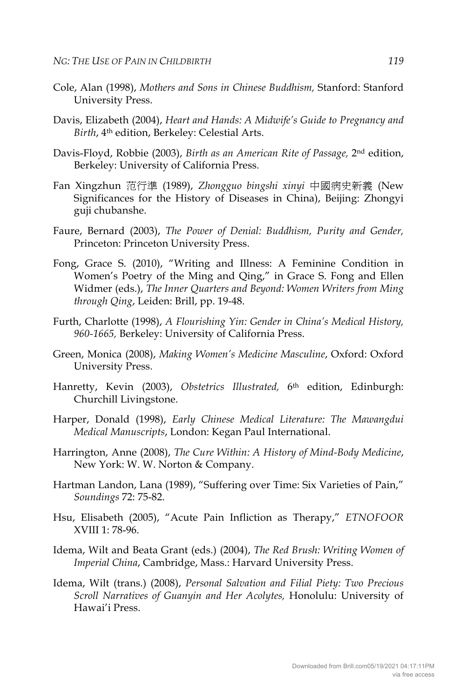- Cole, Alan (1998), *Mothers and Sons in Chinese Buddhism,* Stanford: Stanford University Press.
- Davis, Elizabeth (2004), *Heart and Hands: A Midwife's Guide to Pregnancy and Birth*, 4th edition, Berkeley: Celestial Arts.
- Davis-Floyd, Robbie (2003), *Birth as an American Rite of Passage,* 2nd edition, Berkeley: University of California Press.
- Fan Xingzhun 范行準 (1989), *Zhongguo bingshi xinyi* 中國病史新義 (New Significances for the History of Diseases in China), Beijing: Zhongyi guji chubanshe.
- Faure, Bernard (2003), *The Power of Denial: Buddhism, Purity and Gender,*  Princeton: Princeton University Press.
- Fong, Grace S. (2010), "Writing and Illness: A Feminine Condition in Women's Poetry of the Ming and Qing," in Grace S. Fong and Ellen Widmer (eds.), *The Inner Quarters and Beyond: Women Writers from Ming through Qing*, Leiden: Brill, pp. 19-48.
- Furth, Charlotte (1998), *A Flourishing Yin: Gender in China's Medical History, 960-1665,* Berkeley: University of California Press.
- Green, Monica (2008), *Making Women's Medicine Masculine*, Oxford: Oxford University Press.
- Hanretty, Kevin (2003), *Obstetrics Illustrated,* 6th edition, Edinburgh: Churchill Livingstone.
- Harper, Donald (1998), *Early Chinese Medical Literature: The Mawangdui Medical Manuscripts*, London: Kegan Paul International.
- Harrington, Anne (2008), *The Cure Within: A History of Mind-Body Medicine*, New York: W. W. Norton & Company.
- Hartman Landon, Lana (1989), "Suffering over Time: Six Varieties of Pain," *Soundings* 72: 75-82.
- Hsu, Elisabeth (2005), "Acute Pain Infliction as Therapy," *ETNOFOOR* XVIII 1: 78-96.
- Idema, Wilt and Beata Grant (eds.) (2004), *The Red Brush: Writing Women of Imperial China*, Cambridge, Mass.: Harvard University Press.
- Idema, Wilt (trans.) (2008), *Personal Salvation and Filial Piety: Two Precious Scroll Narratives of Guanyin and Her Acolytes,* Honolulu: University of Hawai'i Press.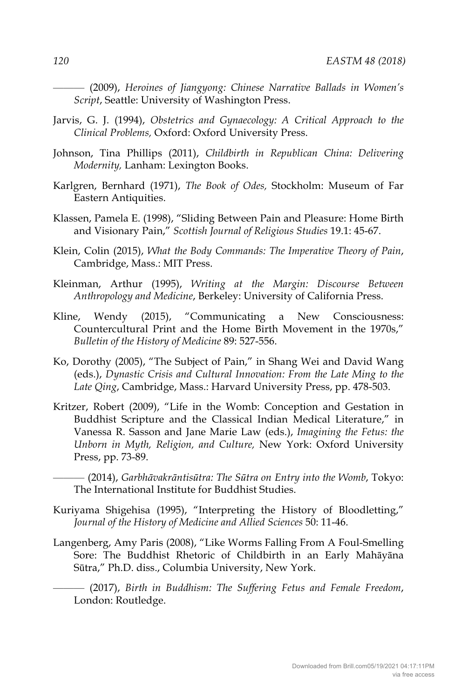——— (2009), *Heroines of Jiangyong: Chinese Narrative Ballads in Women's Script*, Seattle: University of Washington Press.

- Jarvis, G. J. (1994), *Obstetrics and Gynaecology: A Critical Approach to the Clinical Problems,* Oxford: Oxford University Press.
- Johnson, Tina Phillips (2011), *Childbirth in Republican China: Delivering Modernity,* Lanham: Lexington Books.
- Karlgren, Bernhard (1971), *The Book of Odes,* Stockholm: Museum of Far Eastern Antiquities.
- Klassen, Pamela E. (1998), "Sliding Between Pain and Pleasure: Home Birth and Visionary Pain," *Scottish Journal of Religious Studies* 19.1: 45-67.
- Klein, Colin (2015), *What the Body Commands: The Imperative Theory of Pain*, Cambridge, Mass.: MIT Press.
- Kleinman, Arthur (1995), *Writing at the Margin: Discourse Between Anthropology and Medicine*, Berkeley: University of California Press.
- Kline, Wendy (2015), "Communicating a New Consciousness: Countercultural Print and the Home Birth Movement in the 1970s," *Bulletin of the History of Medicine* 89: 527-556.
- Ko, Dorothy (2005), "The Subject of Pain," in Shang Wei and David Wang (eds.), *Dynastic Crisis and Cultural Innovation: From the Late Ming to the Late Qing*, Cambridge, Mass.: Harvard University Press, pp. 478-503.
- Kritzer, Robert (2009), "Life in the Womb: Conception and Gestation in Buddhist Scripture and the Classical Indian Medical Literature," in Vanessa R. Sasson and Jane Marie Law (eds.), *Imagining the Fetus: the Unborn in Myth, Religion, and Culture,* New York: Oxford University Press, pp. 73-89.
	- ——— (2014), *Garbhāvakrāntisūtra: The Sūtra on Entry into the Womb*, Tokyo: The International Institute for Buddhist Studies.
- Kuriyama Shigehisa (1995), "Interpreting the History of Bloodletting," *Journal of the History of Medicine and Allied Sciences* 50: 11-46.
- Langenberg, Amy Paris (2008), "Like Worms Falling From A Foul-Smelling Sore: The Buddhist Rhetoric of Childbirth in an Early Mahāyāna Sūtra," Ph.D. diss., Columbia University, New York.
	- ——— (2017), *Birth in Buddhism: The Suffering Fetus and Female Freedom*, London: Routledge.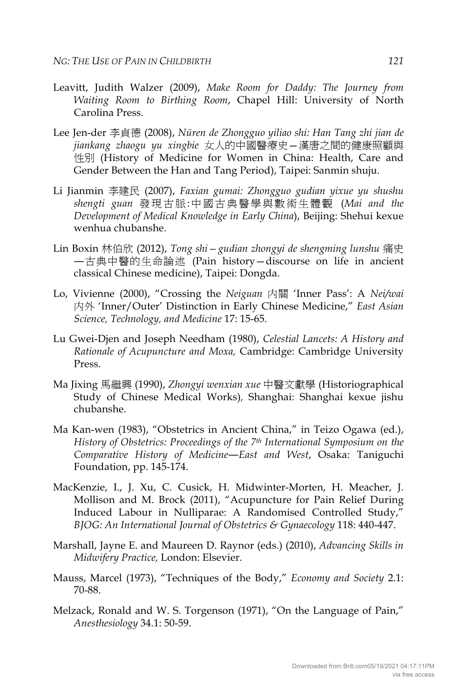- Leavitt, Judith Walzer (2009), *Make Room for Daddy: The Journey from Waiting Room to Birthing Room*, Chapel Hill: University of North Carolina Press.
- Lee Jen-der 李貞德 (2008), *Nüren de Zhongguo yiliao shi: Han Tang zhi jian de jiankang zhaogu yu xingbie* 女人的中國醫療史—漢唐之間的健康照顧與 性別 (History of Medicine for Women in China: Health, Care and Gender Between the Han and Tang Period), Taipei: Sanmin shuju.
- Li Jianmin 李建民 (2007), *Faxian gumai: Zhongguo gudian yixue yu shushu shengti guan* 發現古脈:中國古典醫學與數術生體觀 (*Mai and the Development of Medical Knowledge in Early China*), Beijing: Shehui kexue wenhua chubanshe.
- Lin Boxin 林伯欣 (2012), *Tong shi—gudian zhongyi de shengming lunshu* 痛史 ―古典中醫的生命論述 (Pain history—discourse on life in ancient classical Chinese medicine), Taipei: Dongda.
- Lo, Vivienne (2000), "Crossing the *Neiguan* 内關 'Inner Pass': A *Nei/wai* 内外 'Inner/Outer' Distinction in Early Chinese Medicine," *East Asian Science, Technology, and Medicine* 17: 15-65.
- Lu Gwei-Djen and Joseph Needham (1980), *Celestial Lancets: A History and Rationale of Acupuncture and Moxa,* Cambridge: Cambridge University Press.
- Ma Jixing 馬繼興 (1990), *Zhongyi wenxian xue* 中醫文獻學 (Historiographical Study of Chinese Medical Works)*,* Shanghai: Shanghai kexue jishu chubanshe.
- Ma Kan-wen (1983), "Obstetrics in Ancient China," in Teizo Ogawa (ed.), *History of Obstetrics: Proceedings of the 7th International Symposium on the Comparative History of Medicine―East and West*, Osaka: Taniguchi Foundation, pp. 145-174.
- MacKenzie, I., J. Xu, C. Cusick, H. Midwinter-Morten, H. Meacher, J. Mollison and M. Brock (2011), "Acupuncture for Pain Relief During Induced Labour in Nulliparae: A Randomised Controlled Study," *BJOG: An International Journal of Obstetrics & Gynaecology* 118: 440-447.
- Marshall, Jayne E. and Maureen D. Raynor (eds.) (2010), *Advancing Skills in Midwifery Practice,* London: Elsevier.
- Mauss, Marcel (1973), "Techniques of the Body," *Economy and Society* 2.1: 70-88.
- Melzack, Ronald and W. S. Torgenson (1971), "On the Language of Pain," *Anesthesiology* 34.1: 50-59.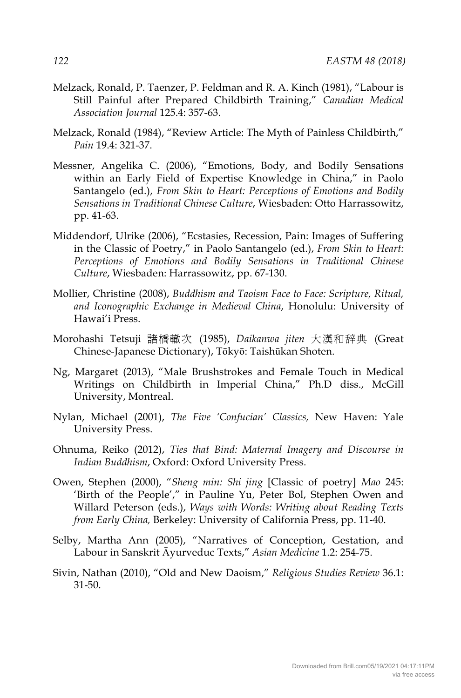- Melzack, Ronald, P. Taenzer, P. Feldman and R. A. Kinch (1981), "Labour is Still Painful after Prepared Childbirth Training," *Canadian Medical Association Journal* 125.4: 357-63.
- Melzack, Ronald (1984), "Review Article: The Myth of Painless Childbirth," *Pain* 19.4: 321-37.
- Messner, Angelika C. (2006), "Emotions, Body, and Bodily Sensations within an Early Field of Expertise Knowledge in China," in Paolo Santangelo (ed.), *From Skin to Heart: Perceptions of Emotions and Bodily Sensations in Traditional Chinese Culture*, Wiesbaden: Otto Harrassowitz, pp. 41-63.
- Middendorf, Ulrike (2006), "Ecstasies, Recession, Pain: Images of Suffering in the Classic of Poetry," in Paolo Santangelo (ed.), *From Skin to Heart: Perceptions of Emotions and Bodily Sensations in Traditional Chinese Culture*, Wiesbaden: Harrassowitz, pp. 67-130.
- Mollier, Christine (2008), *Buddhism and Taoism Face to Face: Scripture, Ritual, and Iconographic Exchange in Medieval China*, Honolulu: University of Hawai'i Press.
- Morohashi Tetsuji 諸橋轍次 (1985), *Daikanwa jiten* 大漢和辞典 (Great Chinese-Japanese Dictionary), Tōkyō: Taishūkan Shoten.
- Ng, Margaret (2013), "Male Brushstrokes and Female Touch in Medical Writings on Childbirth in Imperial China," Ph.D diss., McGill University, Montreal.
- Nylan, Michael (2001), *The Five 'Confucian' Classics,* New Haven: Yale University Press.
- Ohnuma, Reiko (2012), *Ties that Bind: Maternal Imagery and Discourse in Indian Buddhism*, Oxford: Oxford University Press.
- Owen, Stephen (2000), "*Sheng min: Shi jing* [Classic of poetry] *Mao* 245: 'Birth of the People'," in Pauline Yu, Peter Bol, Stephen Owen and Willard Peterson (eds.), *Ways with Words: Writing about Reading Texts from Early China,* Berkeley: University of California Press, pp. 11-40.
- Selby, Martha Ann (2005), "Narratives of Conception, Gestation, and Labour in Sanskrit Āyurveduc Texts," *Asian Medicine* 1.2: 254-75.
- Sivin, Nathan (2010), "Old and New Daoism," *Religious Studies Review* 36.1: 31-50.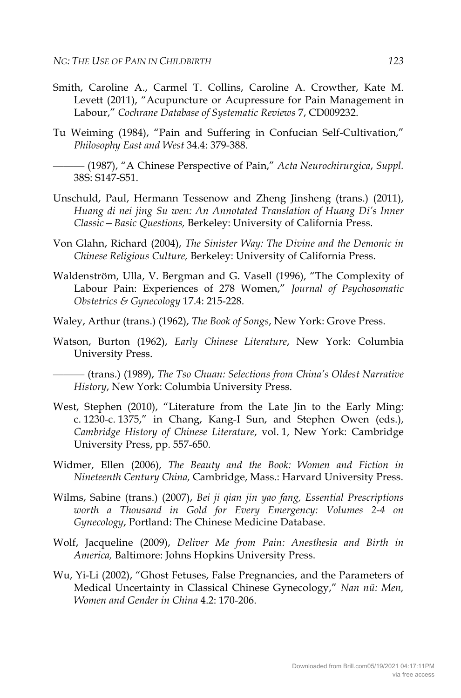- Smith, Caroline A., Carmel T. Collins, Caroline A. Crowther, Kate M. Levett (2011), "Acupuncture or Acupressure for Pain Management in Labour," *Cochrane Database of Systematic Reviews* 7, CD009232.
- Tu Weiming (1984), "Pain and Suffering in Confucian Self-Cultivation," *Philosophy East and West* 34.4: 379-388.

——— (1987), "A Chinese Perspective of Pain," *Acta Neurochirurgica*, *Suppl.* 38S: S147-S51.

- Unschuld, Paul, Hermann Tessenow and Zheng Jinsheng (trans.) (2011), *Huang di nei jing Su wen: An Annotated Translation of Huang Di's Inner Classic—Basic Questions,* Berkeley: University of California Press.
- Von Glahn, Richard (2004), *The Sinister Way: The Divine and the Demonic in Chinese Religious Culture,* Berkeley: University of California Press.
- Waldenström, Ulla, V. Bergman and G. Vasell (1996), "The Complexity of Labour Pain: Experiences of 278 Women," *Journal of Psychosomatic Obstetrics & Gynecology* 17.4: 215-228.
- Waley, Arthur (trans.) (1962), *The Book of Songs*, New York: Grove Press.
- Watson, Burton (1962), *Early Chinese Literature*, New York: Columbia University Press.

——— (trans.) (1989), *The Tso Chuan: Selections from China's Oldest Narrative History*, New York: Columbia University Press.

- West, Stephen (2010), "Literature from the Late Jin to the Early Ming: c. 1230-c. 1375," in Chang, Kang-I Sun, and Stephen Owen (eds.), *Cambridge History of Chinese Literature*, vol. 1, New York: Cambridge University Press, pp. 557-650.
- Widmer, Ellen (2006), *The Beauty and the Book: Women and Fiction in Nineteenth Century China,* Cambridge, Mass.: Harvard University Press.
- Wilms, Sabine (trans.) (2007), *Bei ji qian jin yao fang, Essential Prescriptions worth a Thousand in Gold for Every Emergency: Volumes 2-4 on Gynecology*, Portland: The Chinese Medicine Database.
- Wolf, Jacqueline (2009), *Deliver Me from Pain: Anesthesia and Birth in America,* Baltimore: Johns Hopkins University Press.
- Wu, Yi-Li (2002), "Ghost Fetuses, False Pregnancies, and the Parameters of Medical Uncertainty in Classical Chinese Gynecology," *Nan nü: Men, Women and Gender in China* 4.2: 170-206.